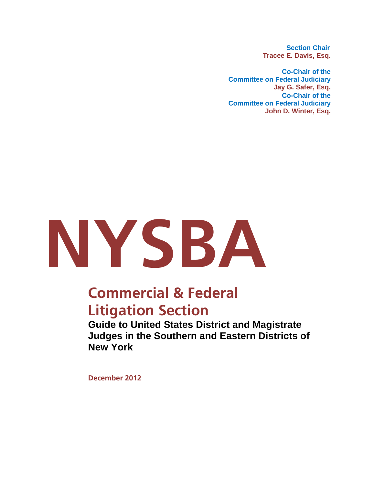**Section Chair Tracee E. Davis, Esq.** 

**Co-Chair of the Committee on Federal Judiciary Jay G. Safer, Esq. Co-Chair of the Committee on Federal Judiciary John D. Winter, Esq.**



## **Commercial & Federal Litigation Section**

**Guide to United States District and Magistrate Judges in the Southern and Eastern Districts of New York** 

**December 2012**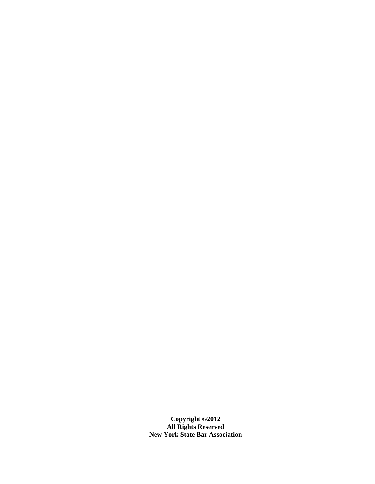**Copyright ©2012 All Rights Reserved New York State Bar Association**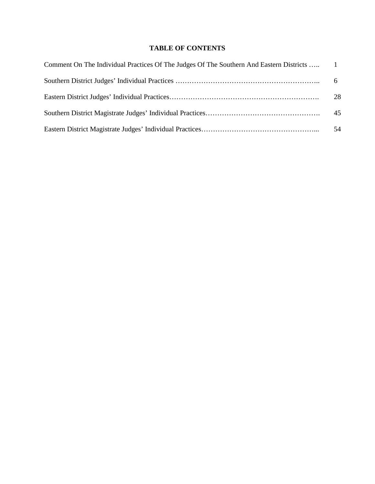## **TABLE OF CONTENTS**

| Comment On The Individual Practices Of The Judges Of The Southern And Eastern Districts  1 |    |
|--------------------------------------------------------------------------------------------|----|
|                                                                                            | 6  |
|                                                                                            | 28 |
|                                                                                            | 45 |
|                                                                                            | 54 |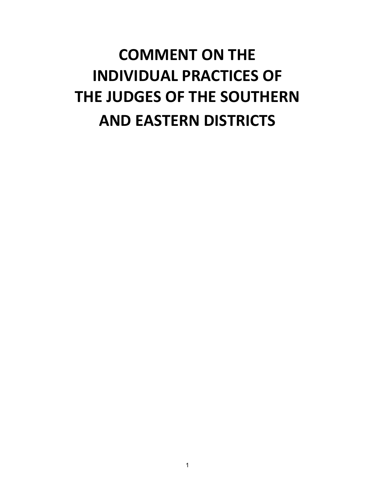## **COMMENT ON THE INDIVIDUAL PRACTICES OF THE JUDGES OF THE SOUTHERN AND EASTERN DISTRICTS**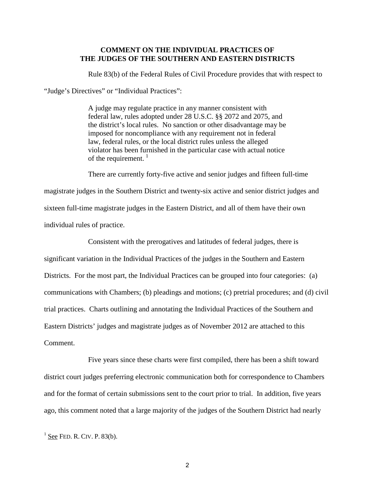## **COMMENT ON THE INDIVIDUAL PRACTICES OF THE JUDGES OF THE SOUTHERN AND EASTERN DISTRICTS**

Rule 83(b) of the Federal Rules of Civil Procedure provides that with respect to

"Judge's Directives" or "Individual Practices":

A judge may regulate practice in any manner consistent with federal law, rules adopted under 28 U.S.C. §§ 2072 and 2075, and the district's local rules. No sanction or other disadvantage may be imposed for noncompliance with any requirement not in federal law, federal rules, or the local district rules unless the alleged violator has been furnished in the particular case with actual notice of the requirement.<sup>[1](#page-4-0)</sup>

There are currently forty-five active and senior judges and fifteen full-time magistrate judges in the Southern District and twenty-six active and senior district judges and sixteen full-time magistrate judges in the Eastern District, and all of them have their own individual rules of practice.

Consistent with the prerogatives and latitudes of federal judges, there is significant variation in the Individual Practices of the judges in the Southern and Eastern Districts. For the most part, the Individual Practices can be grouped into four categories: (a) communications with Chambers; (b) pleadings and motions; (c) pretrial procedures; and (d) civil trial practices. Charts outlining and annotating the Individual Practices of the Southern and Eastern Districts' judges and magistrate judges as of November 2012 are attached to this Comment.

Five years since these charts were first compiled, there has been a shift toward district court judges preferring electronic communication both for correspondence to Chambers and for the format of certain submissions sent to the court prior to trial. In addition, five years ago, this comment noted that a large majority of the judges of the Southern District had nearly

<span id="page-4-0"></span> $<sup>1</sup>$  See FED. R. CIV. P. 83(b).</sup>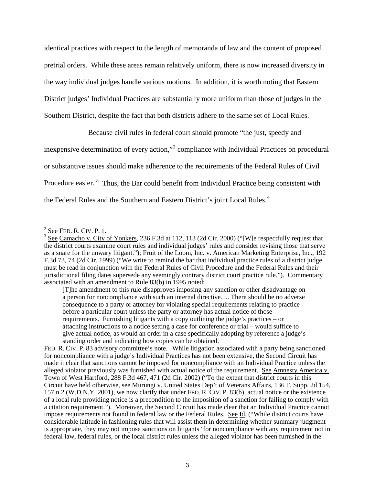identical practices with respect to the length of memoranda of law and the content of proposed pretrial orders. While these areas remain relatively uniform, there is now increased diversity in the way individual judges handle various motions. In addition, it is worth noting that Eastern District judges' Individual Practices are substantially more uniform than those of judges in the Southern District, despite the fact that both districts adhere to the same set of Local Rules.

Because civil rules in federal court should promote "the just, speedy and

inexpensive determination of every action,"<sup>[2](#page-5-0)</sup> compliance with Individual Practices on procedural

or substantive issues should make adherence to the requirements of the Federal Rules of Civil

Procedure easier.<sup>[3](#page-5-1)</sup> Thus, the Bar could benefit from Individual Practice being consistent with

the Federal Rules and the Southern and Eastern District's joint Local Rules.<sup>[4](#page-5-2)</sup>

[T]he amendment to this rule disapproves imposing any sanction or other disadvantage on a person for noncompliance with such an internal directive…. There should be no adverse consequence to a party or attorney for violating special requirements relating to practice before a particular court unless the party or attorney has actual notice of those requirements. Furnishing litigants with a copy outlining the judge's practices – or attaching instructions to a notice setting a case for conference or trial – would suffice to give actual notice, as would an order in a case specifically adopting by reference a judge's standing order and indicating how copies can be obtained.

<span id="page-5-2"></span>FED. R. CIV. P. 83 advisory committee's note. While litigation associated with a party being sanctioned for noncompliance with a judge's Individual Practices has not been extensive, the Second Circuit has made it clear that sanctions cannot be imposed for noncompliance with an Individual Practice unless the alleged violator previously was furnished with actual notice of the requirement. See Amnesty America v. Town of West Hartford, 288 F.3d 467, 471 (2d Cir. 2002) ("To the extent that district courts in this Circuit have held otherwise, see Murungi v. United States Dep't of Veterans Affairs, 136 F. Supp. 2d 154, 157 n.2 (W.D.N.Y. 2001), we now clarify that under FED. R. CIV. P. 83(b), actual notice or the existence of a local rule providing notice is a precondition to the imposition of a sanction for failing to comply with a citation requirement."). Moreover, the Second Circuit has made clear that an Individual Practice cannot impose requirements not found in federal law or the Federal Rules. See Id. ("While district courts have considerable latitude in fashioning rules that will assist them in determining whether summary judgment is appropriate, they may not impose sanctions on litigants 'for noncompliance with any requirement not in federal law, federal rules, or the local district rules unless the alleged violator has been furnished in the

<span id="page-5-0"></span> $2$  See FED. R. CIV. P. 1.

<span id="page-5-1"></span> $\frac{3}{3}$  See Camacho v. City of Yonkers, 236 F.3d at 112, 113 (2d Cir. 2000) ("[W]e respectfully request that the district courts examine court rules and individual judges' rules and consider revising those that serve as a snare for the unwary litigant."); Fruit of the Loom, Inc. v. American Marketing Enterprise, Inc., 192 F.3d 73, 74 (2d Cir. 1999) ("We write to remind the bar that individual practice rules of a district judge must be read in conjunction with the Federal Rules of Civil Procedure and the Federal Rules and their jurisdictional filing dates supersede any seemingly contrary district court practice rule."). Commentary associated with an amendment to Rule 83(b) in 1995 noted: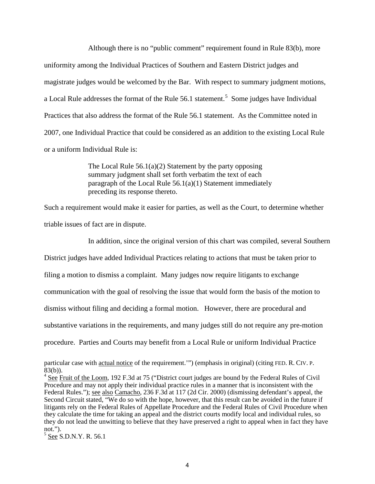Although there is no "public comment" requirement found in Rule 83(b), more uniformity among the Individual Practices of Southern and Eastern District judges and magistrate judges would be welcomed by the Bar. With respect to summary judgment motions, a Local Rule addresses the format of the Rule  $56.1$  $56.1$  statement.<sup>5</sup> Some judges have Individual Practices that also address the format of the Rule 56.1 statement. As the Committee noted in 2007, one Individual Practice that could be considered as an addition to the existing Local Rule or a uniform Individual Rule is:

> The Local Rule  $56.1(a)(2)$  Statement by the party opposing summary judgment shall set forth verbatim the text of each paragraph of the Local Rule  $56.1(a)(1)$  Statement immediately preceding its response thereto.

Such a requirement would make it easier for parties, as well as the Court, to determine whether triable issues of fact are in dispute.

In addition, since the original version of this chart was compiled, several Southern

District judges have added Individual Practices relating to actions that must be taken prior to

filing a motion to dismiss a complaint. Many judges now require litigants to exchange

communication with the goal of resolving the issue that would form the basis of the motion to

dismiss without filing and deciding a formal motion. However, there are procedural and

substantive variations in the requirements, and many judges still do not require any pre-motion

procedure. Parties and Courts may benefit from a Local Rule or uniform Individual Practice

<span id="page-6-0"></span> $5$  See S.D.N.Y. R. 56.1

particular case with actual notice of the requirement.'") (emphasis in original) (citing FED. R. CIV. P.  $83(b)$ ).

 $4 \text{ See }$  Fruit of the Loom, 192 F.3d at 75 ("District court judges are bound by the Federal Rules of Civil Procedure and may not apply their individual practice rules in a manner that is inconsistent with the Federal Rules."); <u>see also Camacho</u>, 236 F.3d at 117 (2d Cir. 2000) (dismissing defendant's appeal, the Second Circuit stated, "We do so with the hope, however, that this result can be avoided in the future if litigants rely on the Federal Rules of Appellate Procedure and the Federal Rules of Civil Procedure when they calculate the time for taking an appeal and the district courts modify local and individual rules, so they do not lead the unwitting to believe that they have preserved a right to appeal when in fact they have not.").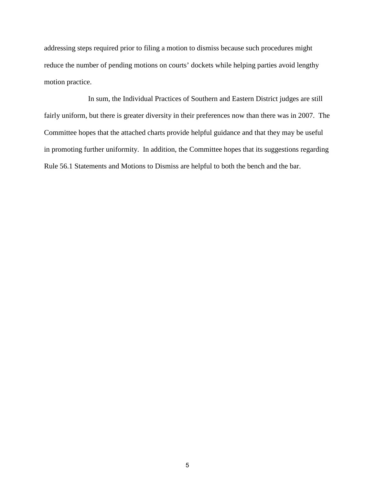addressing steps required prior to filing a motion to dismiss because such procedures might reduce the number of pending motions on courts' dockets while helping parties avoid lengthy motion practice.

In sum, the Individual Practices of Southern and Eastern District judges are still fairly uniform, but there is greater diversity in their preferences now than there was in 2007. The Committee hopes that the attached charts provide helpful guidance and that they may be useful in promoting further uniformity. In addition, the Committee hopes that its suggestions regarding Rule 56.1 Statements and Motions to Dismiss are helpful to both the bench and the bar.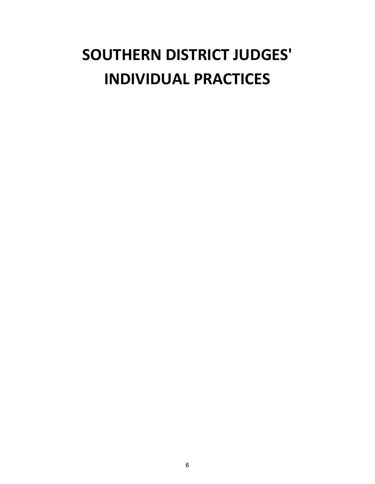# **SOUTHERN DISTRICT JUDGES' INDIVIDUAL PRACTICES**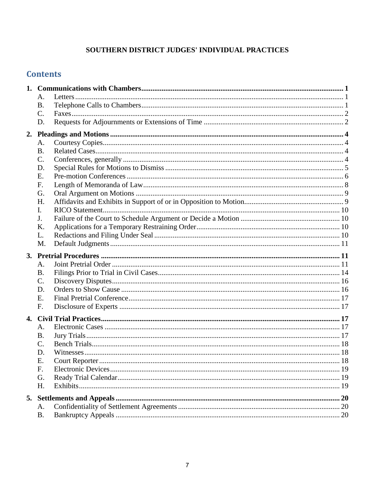## SOUTHERN DISTRICT JUDGES' INDIVIDUAL PRACTICES

## **Contents**

|  | A.              |  |
|--|-----------------|--|
|  | B.              |  |
|  | $\mathcal{C}$ . |  |
|  | D.              |  |
|  |                 |  |
|  | A.              |  |
|  | <b>B.</b>       |  |
|  | $\mathsf{C}$ .  |  |
|  | D.              |  |
|  | Е.              |  |
|  | F.              |  |
|  | G.              |  |
|  | H.              |  |
|  | Ι.              |  |
|  | J.              |  |
|  | Κ.              |  |
|  | L.              |  |
|  | M.              |  |
|  |                 |  |
|  | A.              |  |
|  | B.              |  |
|  | $\mathcal{C}$ . |  |
|  | D.              |  |
|  | Ε.              |  |
|  | F.              |  |
|  |                 |  |
|  | A.              |  |
|  | <b>B.</b>       |  |
|  | C.              |  |
|  | D.              |  |
|  | Е.              |  |
|  | F.              |  |
|  | G.              |  |
|  | H.              |  |
|  |                 |  |
|  | A.              |  |
|  | <b>B.</b>       |  |
|  |                 |  |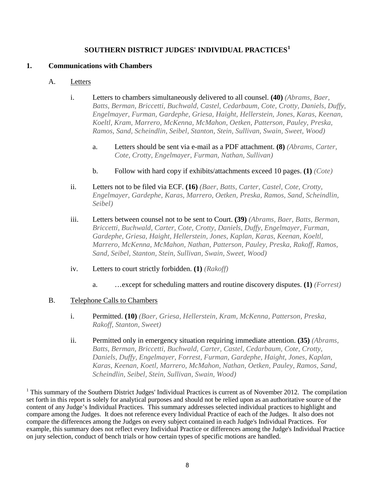## **SOUTHERN DISTRICT JUDGES' INDIVIDUAL PRACTICES<sup>1</sup>**

## **1. Communications with Chambers**

#### A. Letters

- i. Letters to chambers simultaneously delivered to all counsel. **(40)** *(Abrams, Baer, Batts, Berman, Briccetti, Buchwald, Castel, Cedarbaum, Cote, Crotty, Daniels, Duffy, Engelmayer, Furman, Gardephe, Griesa, Haight, Hellerstein, Jones, Karas, Keenan, Koeltl, Kram, Marrero, McKenna, McMahon, Oetken, Patterson, Pauley, Preska, Ramos, Sand, Scheindlin, Seibel, Stanton, Stein, Sullivan, Swain, Sweet, Wood)*
	- a. Letters should be sent via e-mail as a PDF attachment. **(8)** *(Abrams, Carter, Cote, Crotty, Engelmayer, Furman, Nathan, Sullivan)*
	- b. Follow with hard copy if exhibits/attachments exceed 10 pages. **(1)** *(Cote)*
- ii. Letters not to be filed via ECF. **(16)** *(Baer, Batts, Carter, Castel, Cote, Crotty, Engelmayer, Gardephe, Karas, Marrero, Oetken, Preska, Ramos, Sand, Scheindlin, Seibel)*
- iii. Letters between counsel not to be sent to Court. **(39)** *(Abrams, Baer, Batts, Berman, Briccetti, Buchwald, Carter, Cote, Crotty, Daniels, Duffy, Engelmayer, Furman, Gardephe, Griesa, Haight, Hellerstein, Jones, Kaplan, Karas, Keenan, Koeltl, Marrero, McKenna, McMahon, Nathan, Patterson, Pauley, Preska, Rakoff, Ramos, Sand, Seibel, Stanton, Stein, Sullivan, Swain, Sweet, Wood)*
- iv. Letters to court strictly forbidden. **(1)** *(Rakoff)*
	- a. …except for scheduling matters and routine discovery disputes. **(1)** *(Forrest)*

## B. Telephone Calls to Chambers

- i. Permitted. **(10)** *(Baer, Griesa, Hellerstein, Kram, McKenna, Patterson, Preska, Rakoff, Stanton, Sweet)*
- ii. Permitted only in emergency situation requiring immediate attention. **(35)** *(Abrams, Batts, Berman, Briccetti, Buchwald, Carter, Castel, Cedarbaum, Cote, Crotty, Daniels, Duffy, Engelmayer, Forrest, Furman, Gardephe, Haight, Jones, Kaplan, Karas, Keenan, Koetl, Marrero, McMahon, Nathan, Oetken, Pauley, Ramos, Sand, Scheindlin, Seibel, Stein, Sullivan, Swain, Wood)*

<sup>1</sup> This summary of the Southern District Judges' Individual Practices is current as of November 2012. The compilation set forth in this report is solely for analytical purposes and should not be relied upon as an authoritative source of the content of any Judge's Individual Practices. This summary addresses selected individual practices to highlight and compare among the Judges. It does not reference every Individual Practice of each of the Judges. It also does not compare the differences among the Judges on every subject contained in each Judge's Individual Practices. For example, this summary does not reflect every Individual Practice or differences among the Judge's Individual Practice on jury selection, conduct of bench trials or how certain types of specific motions are handled.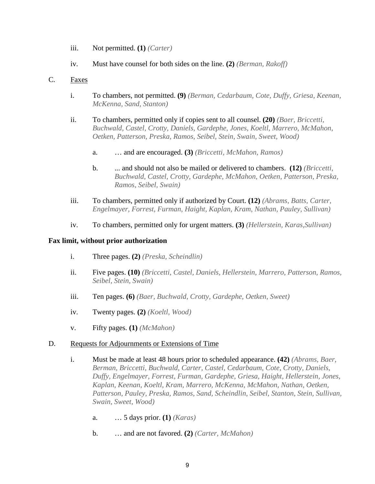- iii. Not permitted. **(1)** *(Carter)*
- iv. Must have counsel for both sides on the line. **(2)** *(Berman, Rakoff)*

#### <span id="page-11-1"></span><span id="page-11-0"></span>C. Faxes

- i. To chambers, not permitted. **(9)** *(Berman, Cedarbaum, Cote, Duffy, Griesa, Keenan, McKenna, Sand, Stanton)*
- ii. To chambers, permitted only if copies sent to all counsel. **(20)** *(Baer, Briccetti, Buchwald, Castel, Crotty, Daniels, Gardephe, Jones, Koeltl, Marrero, McMahon, Oetken, Patterson, Preska, Ramos, Seibel, Stein, Swain, Sweet, Wood)* 
	- a. … and are encouraged. **(3)** *(Briccetti, McMahon, Ramos)*
	- b. ... and should not also be mailed or delivered to chambers. **(12)** *(Briccetti, Buchwald, Castel, Crotty, Gardephe, McMahon, Oetken, Patterson, Preska, Ramos, Seibel, Swain)*
- iii. To chambers, permitted only if authorized by Court. **(12)** *(Abrams, Batts, Carter, Engelmayer, Forrest, Furman, Haight, Kaplan, Kram, Nathan, Pauley, Sullivan)*
- iv. To chambers, permitted only for urgent matters. **(3)** *(Hellerstein, Karas,Sullivan)*

#### **Fax limit, without prior authorization**

- i. Three pages. **(2)** *(Preska, Scheindlin)*
- ii. Five pages. **(10)** *(Briccetti, Castel, Daniels, Hellerstein, Marrero, Patterson, Ramos, Seibel, Stein, Swain)*
- <span id="page-11-2"></span>iii. Ten pages. **(6)** *(Baer, Buchwald, Crotty, Gardephe, Oetken, Sweet)*
- iv. Twenty pages. **(2)** *(Koeltl, Wood)*
- v. Fifty pages. **(1)** *(McMahon)*

#### D. Requests for Adjournments or Extensions of Time

- i. Must be made at least 48 hours prior to scheduled appearance. **(42)** *(Abrams, Baer, Berman, Briccetti, Buchwald, Carter, Castel, Cedarbaum, Cote, Crotty, Daniels, Duffy, Engelmayer, Forrest, Furman, Gardephe, Griesa, Haight, Hellerstein, Jones, Kaplan, Keenan, Koeltl, Kram, Marrero, McKenna, McMahon, Nathan, Oetken, Patterson, Pauley, Preska, Ramos, Sand, Scheindlin, Seibel, Stanton, Stein, Sullivan, Swain, Sweet, Wood)*
	- a. … 5 days prior. **(1)** *(Karas)*
	- b. … and are not favored. **(2)** *(Carter, McMahon)*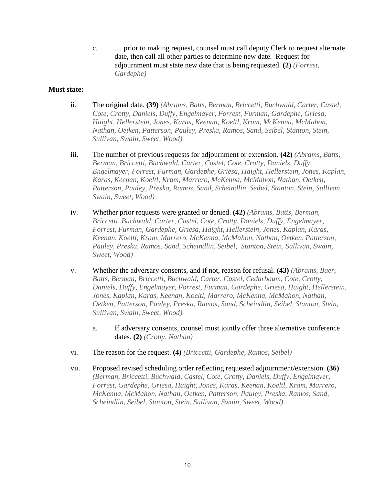c. … prior to making request, counsel must call deputy Clerk to request alternate date, then call all other parties to determine new date. Request for adjournment must state new date that is being requested. **(2)** *(Forrest, Gardephe)* 

## <span id="page-12-0"></span>**Must state:**

- ii. The original date. **(39)** *(Abrams, Batts, Berman, Briccetti, Buchwald, Carter, Castel, Cote, Crotty, Daniels, Duffy, Engelmayer, Forrest, Furman, Gardephe, Griesa, Haight, Hellerstein, Jones, Karas, Keenan, Koeltl, Kram, McKenna, McMahon, Nathan, Oetken, Patterson, Pauley, Preska, Ramos, Sand, Seibel, Stanton, Stein, Sullivan, Swain, Sweet, Wood)*
- iii. The number of previous requests for adjournment or extension. **(42)** *(Abrams, Batts, Berman, Briccetti, Buchwald, Carter, Castel, Cote, Crotty, Daniels, Duffy, Engelmayer, Forrest, Furman, Gardephe, Griesa, Haight, Hellerstein, Jones, Kaplan, Karas, Keenan, Koeltl, Kram, Marrero, McKenna, McMahon, Nathan, Oetken, Patterson, Pauley, Preska, Ramos, Sand, Scheindlin, Seibel, Stanton, Stein, Sullivan, Swain, Sweet, Wood)*
- iv. Whether prior requests were granted or denied. **(42)** *(Abrams, Batts, Berman, Briccetti, Buchwald, Carter, Castel, Cote, Crotty, Daniels, Duffy, Engelmayer, Forrest, Furman, Gardephe, Griesa, Haight, Hellerstein, Jones, Kaplan, Karas, Keenan, Koeltl, Kram, Marrero, McKenna, McMahon, Nathan, Oetken, Patterson, Pauley, Preska, Ramos, Sand, Scheindlin, Seibel, Stanton, Stein, Sullivan, Swain, Sweet, Wood)*
- v. Whether the adversary consents, and if not, reason for refusal. **(43)** *(Abrams, Baer, Batts, Berman, Briccetti, Buchwald, Carter, Castel, Cedarbaum, Cote, Crotty, Daniels, Duffy, Engelmayer, Forrest, Furman, Gardephe, Griesa, Haight, Hellerstein, Jones, Kaplan, Karas, Keenan, Koeltl, Marrero, McKenna, McMahon, Nathan, Oetken, Patterson, Pauley, Preska, Ramos, Sand, Scheindlin, Seibel, Stanton, Stein, Sullivan, Swain, Sweet, Wood)*
	- a. If adversary consents, counsel must jointly offer three alternative conference dates. **(2)** *(Crotty, Nathan)*
- <span id="page-12-1"></span>vi. The reason for the request. **(4)** *(Briccetti, Gardephe, Ramos, Seibel)*
- vii. Proposed revised scheduling order reflecting requested adjournment/extension. **(36)**  *(Berman, Briccetti, Buchwald, Castel, Cote, Crotty, Daniels, Duffy, Engelmayer, Forrest, Gardephe, Griesa, Haight, Jones, Karas, Keenan, Koeltl, Kram, Marrero, McKenna, McMahon, Nathan, Oetken, Patterson, Pauley, Preska, Ramos, Sand, Scheindlin, Seibel, Stanton, Stein, Sullivan, Swain, Sweet, Wood)*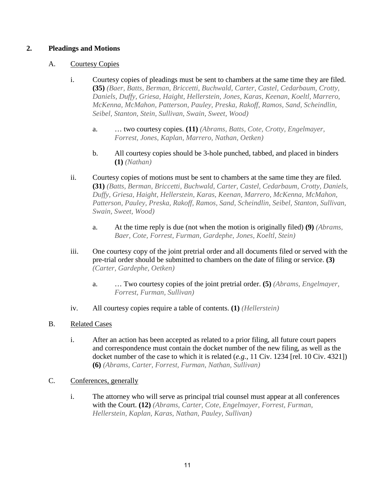## **2. Pleadings and Motions**

## A. Courtesy Copies

- i. Courtesy copies of pleadings must be sent to chambers at the same time they are filed. **(35)** *(Baer, Batts, Berman, Briccetti, Buchwald, Carter, Castel, Cedarbaum, Crotty, Daniels, Duffy, Griesa, Haight, Hellerstein, Jones, Karas, Keenan, Koeltl, Marrero, McKenna, McMahon, Patterson, Pauley, Preska, Rakoff, Ramos, Sand, Scheindlin, Seibel, Stanton, Stein, Sullivan, Swain, Sweet, Wood)*
	- a. … two courtesy copies. **(11)** *(Abrams, Batts, Cote, Crotty, Engelmayer, Forrest, Jones, Kaplan, Marrero, Nathan, Oetken)*
	- b. All courtesy copies should be 3-hole punched, tabbed, and placed in binders **(1)** *(Nathan)*
- ii. Courtesy copies of motions must be sent to chambers at the same time they are filed. **(31)** *(Batts, Berman, Briccetti, Buchwald, Carter, Castel, Cedarbaum, Crotty, Daniels, Duffy, Griesa, Haight, Hellerstein, Karas, Keenan, Marrero, McKenna, McMahon, Patterson, Pauley, Preska, Rakoff, Ramos, Sand, Scheindlin, Seibel, Stanton, Sullivan, Swain, Sweet, Wood)*
	- a. At the time reply is due (not when the motion is originally filed) **(9)** *(Abrams, Baer, Cote, Forrest, Furman, Gardephe, Jones, Koeltl, Stein)*
- iii. One courtesy copy of the joint pretrial order and all documents filed or served with the pre-trial order should be submitted to chambers on the date of filing or service. **(3)**  *(Carter, Gardephe, Oetken)* 
	- a. … Two courtesy copies of the joint pretrial order. **(5)** *(Abrams, Engelmayer, Forrest, Furman, Sullivan)*
- iv. All courtesy copies require a table of contents. **(1)** *(Hellerstein)*
- B. Related Cases
	- i. After an action has been accepted as related to a prior filing, all future court papers and correspondence must contain the docket number of the new filing, as well as the docket number of the case to which it is related (*e.g.*, 11 Civ. 1234 [rel. 10 Civ. 4321]) **(6)** *(Abrams, Carter, Forrest, Furman, Nathan, Sullivan)*
- C. Conferences, generally
	- i. The attorney who will serve as principal trial counsel must appear at all conferences with the Court. **(12)** *(Abrams, Carter, Cote, Engelmayer, Forrest, Furman, Hellerstein, Kaplan, Karas, Nathan, Pauley, Sullivan)*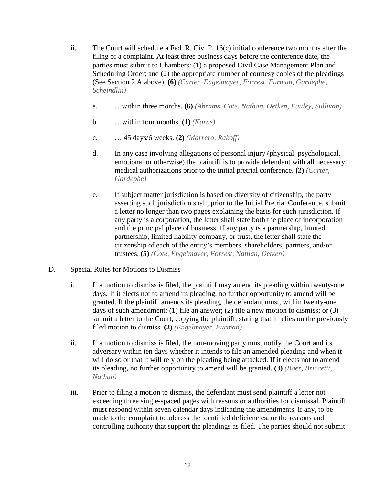- <span id="page-14-1"></span><span id="page-14-0"></span>ii. The Court will schedule a Fed. R. Civ. P. 16(c) initial conference two months after the filing of a complaint. At least three business days before the conference date, the parties must submit to Chambers: (1) a proposed Civil Case Management Plan and Scheduling Order; and (2) the appropriate number of courtesy copies of the pleadings (See Section 2.A above). **(6)** *(Carter, Engelmayer, Forrest, Furman, Gardephe, Scheindlin)*
	- a. …within three months. **(6)** *(Abrams, Cote, Nathan, Oetken, Pauley, Sullivan)*
	- b. …within four months. **(1)** *(Karas)*
	- c. … 45 days/6 weeks. **(2)** *(Marrero, Rakoff)*
	- d. In any case involving allegations of personal injury (physical, psychological, emotional or otherwise) the plaintiff is to provide defendant with all necessary medical authorizations prior to the initial pretrial conference. **(2)** *(Carter, Gardephe)*
	- e. If subject matter jurisdiction is based on diversity of citizenship, the party asserting such jurisdiction shall, prior to the Initial Pretrial Conference, submit a letter no longer than two pages explaining the basis for such jurisdiction. If any party is a corporation, the letter shall state both the place of incorporation and the principal place of business. If any party is a partnership, limited partnership, limited liability company, or trust, the letter shall state the citizenship of each of the entity's members, shareholders, partners, and/or trustees. **(5)** *(Cote, Engelmayer, Forrest, Nathan, Oetken)*

## D. Special Rules for Motions to Dismiss

- i. If a motion to dismiss is filed, the plaintiff may amend its pleading within twenty-one days. If it elects not to amend its pleading, no further opportunity to amend will be granted. If the plaintiff amends its pleading, the defendant must, within twenty-one days of such amendment: (1) file an answer; (2) file a new motion to dismiss; or (3) submit a letter to the Court, copying the plaintiff, stating that it relies on the previously filed motion to dismiss. **(2)** *(Engelmayer, Furman)*
- <span id="page-14-2"></span>ii. If a motion to dismiss is filed, the non-moving party must notify the Court and its adversary within ten days whether it intends to file an amended pleading and when it will do so or that it will rely on the pleading being attacked. If it elects not to amend its pleading, no further opportunity to amend will be granted. **(3)** *(Baer, Briccetti, Nathan)*
- <span id="page-14-3"></span>iii. Prior to filing a motion to dismiss, the defendant must send plaintiff a letter not exceeding three single-spaced pages with reasons or authorities for dismissal. Plaintiff must respond within seven calendar days indicating the amendments, if any, to be made to the complaint to address the identified deficiencies, or the reasons and controlling authority that support the pleadings as filed. The parties should not submit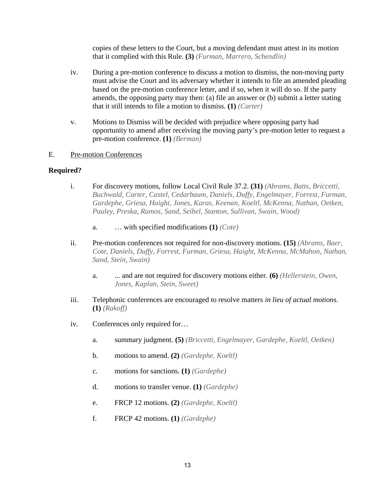copies of these letters to the Court, but a moving defendant must attest in its motion that it complied with this Rule. **(3)** *(Furman, Marrero, Schendlin)*

- iv. During a pre-motion conference to discuss a motion to dismiss, the non-moving party must advise the Court and its adversary whether it intends to file an amended pleading based on the pre-motion conference letter, and if so, when it will do so. If the party amends, the opposing party may then: (a) file an answer or (b) submit a letter stating that it still intends to file a motion to dismiss. **(1)** *(Carter)*
- v. Motions to Dismiss will be decided with prejudice where opposing party had opportunity to amend after receiving the moving party's pre-motion letter to request a pre-motion conference. **(1)** *(Berman)*

## E. Pre-motion Conferences

## **Required?**

- i. For discovery motions, follow Local Civil Rule 37.2. **(31)** *(Abrams, Batts, Briccetti, Buchwald, Carter, Castel, Cedarbaum, Daniels, Duffy, Engelmayer, Forrest, Furman, Gardephe, Griesa, Haight, Jones, Karas, Keenan, Koeltl, McKenna, Nathan, Oetken, Pauley, Preska, Ramos, Sand, Seibel, Stanton, Sullivan, Swain, Wood)*
	- a. … with specified modifications **(1)** *(Cote)*
- <span id="page-15-0"></span>ii. Pre-motion conferences not required for non-discovery motions. **(15)** *(Abrams, Baer, Cote, Daniels, Duffy, Forrest, Furman, Griesa, Haight, McKenna, McMahon, Nathan, Sand, Stein, Swain)*
	- a. ... and are not required for discovery motions either. **(6)** *(Hellerstein, Owen, Jones, Kaplan, Stein, Sweet)*
- iii. Telephonic conferences are encouraged to resolve matters *in lieu of actual motions*. **(1)** *(Rakoff)*
- iv. Conferences only required for…
	- a. summary judgment. **(5)** *(Briccetti, Engelmayer, Gardephe, Koeltl, Oetken)*
	- b. motions to amend. **(2)** *(Gardephe, Koeltl)*
	- c. motions for sanctions. **(1)** *(Gardephe)*
	- d. motions to transfer venue. **(1)** *(Gardephe)*
	- e. FRCP 12 motions. **(2)** *(Gardephe, Koeltl)*
	- f. FRCP 42 motions. **(1)** *(Gardephe)*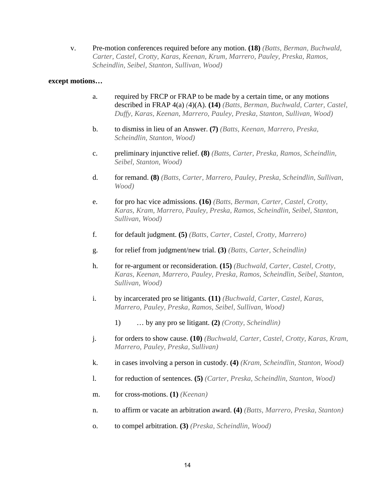v. Pre-motion conferences required before any motion. **(18)** *(Batts, Berman, Buchwald, Carter, Castel, Crotty, Karas, Keenan, Krum, Marrero, Pauley, Preska, Ramos, Scheindlin, Seibel, Stanton, Sullivan, Wood)*

#### **except motions…**

- a. required by FRCP or FRAP to be made by a certain time, or any motions described in FRAP 4(a) *(*4)(A). **(14)** *(Batts, Berman, Buchwald, Carter, Castel, Duffy, Karas, Keenan, Marrero, Pauley, Preska, Stanton, Sullivan, Wood)*
- b. to dismiss in lieu of an Answer. **(7)** *(Batts, Keenan, Marrero, Preska, Scheindlin, Stanton, Wood)*
- <span id="page-16-0"></span>c. preliminary injunctive relief. **(8)** *(Batts, Carter, Preska, Ramos, Scheindlin, Seibel, Stanton, Wood)*
- d. for remand. **(8)** *(Batts, Carter, Marrero, Pauley, Preska, Scheindlin, Sullivan, Wood)*
- e. for pro hac vice admissions. **(16)** *(Batts, Berman, Carter, Castel, Crotty, Karas, Kram, Marrero, Pauley, Preska, Ramos, Scheindlin, Seibel, Stanton, Sullivan, Wood)*
- f. for default judgment. **(5)** *(Batts, Carter, Castel, Crotty, Marrero)*
- g. for relief from judgment/new trial. **(3)** *(Batts, Carter, Scheindlin)*
- h. for re-argument or reconsideration. **(15)** *(Buchwald, Carter, Castel, Crotty, Karas, Keenan, Marrero, Pauley, Preska, Ramos, Scheindlin, Seibel, Stanton, Sullivan, Wood)*
- i. by incarcerated pro se litigants. **(11)** *(Buchwald, Carter, Castel, Karas, Marrero, Pauley, Preska, Ramos, Seibel, Sullivan, Wood)*
	- 1) … by any pro se litigant. **(2)** *(Crotty, Scheindlin)*
- j. for orders to show cause. **(10)** *(Buchwald, Carter, Castel, Crotty, Karas, Kram, Marrero, Pauley, Preska, Sullivan)*
- k. in cases involving a person in custody. **(4)** *(Kram, Scheindlin, Stanton, Wood)*
- l. for reduction of sentences. **(5)** *(Carter, Preska, Scheindlin, Stanton, Wood)*
- m. for cross-motions. **(1)** *(Keenan)*
- n. to affirm or vacate an arbitration award. **(4)** *(Batts, Marrero, Preska, Stanton)*
- o. to compel arbitration. **(3)** *(Preska, Scheindlin, Wood)*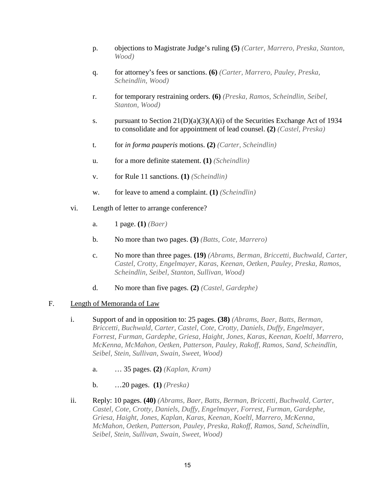- p. objections to Magistrate Judge's ruling **(5)** *(Carter, Marrero, Preska, Stanton, Wood)*
- q. for attorney's fees or sanctions. **(6)** *(Carter, Marrero, Pauley, Preska, Scheindlin, Wood)*
- r. for temporary restraining orders. **(6)** *(Preska, Ramos, Scheindlin, Seibel, Stanton, Wood)*
- s. pursuant to Section  $21(D)(a)(3)(A)(i)$  of the Securities Exchange Act of 1934 to consolidate and for appointment of lead counsel. **(2)** *(Castel, Preska)*
- t. for *in forma pauperis* motions. **(2)** *(Carter, Scheindlin)*
- u. for a more definite statement. **(1)** *(Scheindlin)*
- v. for Rule 11 sanctions. **(1)** *(Scheindlin)*
- w. for leave to amend a complaint. **(1)** *(Scheindlin)*
- vi. Length of letter to arrange conference?
	- a. 1 page. **(1)** *(Baer)*
	- b. No more than two pages. **(3)** *(Batts, Cote, Marrero)*
	- c. No more than three pages. **(19)** *(Abrams, Berman, Briccetti, Buchwald, Carter, Castel, Crotty, Engelmayer, Karas, Keenan, Oetken, Pauley, Preska, Ramos, Scheindlin, Seibel, Stanton, Sullivan, Wood)*
	- d. No more than five pages. **(2)** *(Castel, Gardephe)*

## F. Length of Memoranda of Law

- i. Support of and in opposition to: 25 pages. **(38)** *(Abrams, Baer, Batts, Berman, Briccetti, Buchwald, Carter, Castel, Cote, Crotty, Daniels, Duffy, Engelmayer, Forrest, Furman, Gardephe, Griesa, Haight, Jones, Karas, Keenan, Koeltl, Marrero, McKenna, McMahon, Oetken, Patterson, Pauley, Rakoff, Ramos, Sand, Scheindlin, Seibel, Stein, Sullivan, Swain, Sweet, Wood)*
	- a. … 35 pages. **(2)** *(Kaplan, Kram)*
	- b. …20 pages. **(1)** *(Preska)*
- ii. Reply: 10 pages. **(40)** *(Abrams, Baer, Batts, Berman, Briccetti, Buchwald, Carter, Castel, Cote, Crotty, Daniels, Duffy, Engelmayer, Forrest, Furman, Gardephe, Griesa, Haight, Jones, Kaplan, Karas, Keenan, Koeltl, Marrero, McKenna, McMahon, Oetken, Patterson, Pauley, Preska, Rakoff, Ramos, Sand, Scheindlin, Seibel, Stein, Sullivan, Swain, Sweet, Wood)*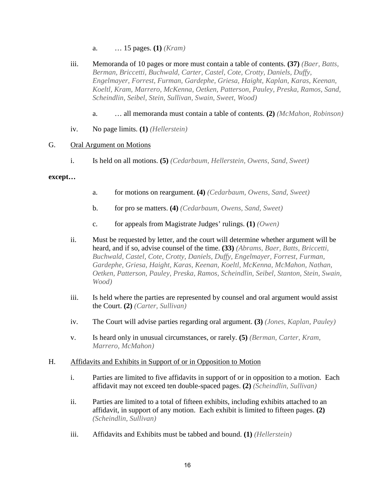- a. … 15 pages. **(1)** *(Kram)*
- iii. Memoranda of 10 pages or more must contain a table of contents. **(37)** *(Baer, Batts, Berman, Briccetti, Buchwald, Carter, Castel, Cote, Crotty, Daniels, Duffy, Engelmayer, Forrest, Furman, Gardephe, Griesa, Haight, Kaplan, Karas, Keenan, Koeltl, Kram, Marrero, McKenna, Oetken, Patterson, Pauley, Preska, Ramos, Sand, Scheindlin, Seibel, Stein, Sullivan, Swain, Sweet, Wood)*
	- a. … all memoranda must contain a table of contents. **(2)** *(McMahon, Robinson)*
- iv. No page limits. **(1)** *(Hellerstein)*

#### G. Oral Argument on Motions

i. Is held on all motions. **(5)** *(Cedarbaum, Hellerstein, Owens, Sand, Sweet)*

#### **except…**

- a. for motions on reargument. **(4)** *(Cedarbaum, Owens, Sand, Sweet)*
- b. for pro se matters. **(4)** *(Cedarbaum, Owens, Sand, Sweet)*
- c. for appeals from Magistrate Judges' rulings. **(1)** *(Owen)*
- ii. Must be requested by letter, and the court will determine whether argument will be heard, and if so, advise counsel of the time. **(33)** *(Abrams, Baer, Batts, Briccetti, Buchwald, Castel, Cote, Crotty, Daniels, Duffy, Engelmayer, Forrest, Furman, Gardephe, Griesa, Haight, Karas, Keenan, Koeltl, McKenna, McMahon, Nathan, Oetken, Patterson, Pauley, Preska, Ramos, Scheindlin, Seibel, Stanton, Stein, Swain, Wood)*
- <span id="page-18-0"></span>iii. Is held where the parties are represented by counsel and oral argument would assist the Court. **(2)** *(Carter, Sullivan)*
- iv. The Court will advise parties regarding oral argument. **(3)** *(Jones, Kaplan, Pauley)*
- v. Is heard only in unusual circumstances, or rarely. **(5)** *(Berman, Carter, Kram, Marrero, McMahon)*

## H. Affidavits and Exhibits in Support of or in Opposition to Motion

- i. Parties are limited to five affidavits in support of or in opposition to a motion. Each affidavit may not exceed ten double-spaced pages. **(2)** *(Scheindlin, Sullivan)*
- ii. Parties are limited to a total of fifteen exhibits, including exhibits attached to an affidavit, in support of any motion. Each exhibit is limited to fifteen pages. **(2)**  *(Scheindlin, Sullivan)*
- iii. Affidavits and Exhibits must be tabbed and bound. **(1)** *(Hellerstein)*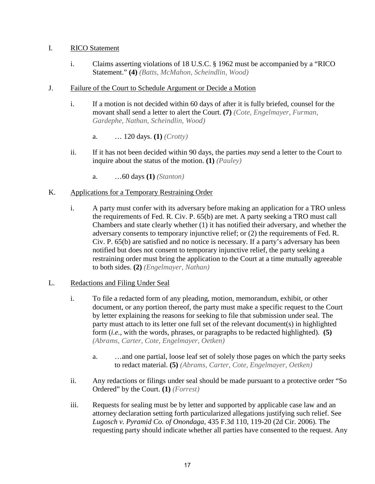## I. RICO Statement

i. Claims asserting violations of 18 U.S.C. § 1962 must be accompanied by a "RICO Statement." **(4)** *(Batts, McMahon, Scheindlin, Wood)*

## J. Failure of the Court to Schedule Argument or Decide a Motion

- i. If a motion is not decided within 60 days of after it is fully briefed, counsel for the movant shall send a letter to alert the Court. **(7)** *(Cote, Engelmayer, Furman, Gardephe, Nathan, Scheindlin, Wood)*
	- a. … 120 days. **(1)** *(Crotty)*
- <span id="page-19-0"></span>ii. If it has not been decided within 90 days, the parties *may* send a letter to the Court to inquire about the status of the motion. **(1)** *(Pauley)*
	- a. …60 days **(1)** *(Stanton)*

## K. Applications for a Temporary Restraining Order

i. A party must confer with its adversary before making an application for a TRO unless the requirements of Fed. R. Civ. P. 65(b) are met. A party seeking a TRO must call Chambers and state clearly whether (1) it has notified their adversary, and whether the adversary consents to temporary injunctive relief; or (2) the requirements of Fed. R. Civ. P. 65(b) are satisfied and no notice is necessary. If a party's adversary has been notified but does not consent to temporary injunctive relief, the party seeking a restraining order must bring the application to the Court at a time mutually agreeable to both sides. **(2)** *(Engelmayer, Nathan)*

## L. Redactions and Filing Under Seal

- i. To file a redacted form of any pleading, motion, memorandum, exhibit, or other document, or any portion thereof, the party must make a specific request to the Court by letter explaining the reasons for seeking to file that submission under seal. The party must attach to its letter one full set of the relevant document(s) in highlighted form (*i.e.*, with the words, phrases, or paragraphs to be redacted highlighted). **(5)**  *(Abrams, Carter, Cote, Engelmayer, Oetken)*
	- a. …and one partial, loose leaf set of solely those pages on which the party seeks to redact material. **(5)** *(Abrams, Carter, Cote, Engelmayer, Oetken)*
- <span id="page-19-1"></span>ii. Any redactions or filings under seal should be made pursuant to a protective order "So Ordered" by the Court. **(1)** *(Forrest)*
- iii. Requests for sealing must be by letter and supported by applicable case law and an attorney declaration setting forth particularized allegations justifying such relief. See *Lugosch v. Pyramid Co. of Onondaga*, 435 F.3d 110, 119-20 (2d Cir. 2006). The requesting party should indicate whether all parties have consented to the request. Any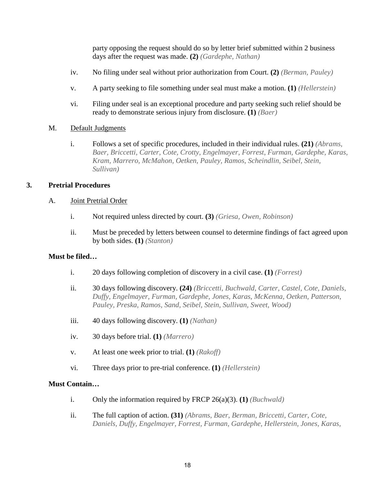party opposing the request should do so by letter brief submitted within 2 business days after the request was made. **(2)** *(Gardephe, Nathan)*

- <span id="page-20-0"></span>iv. No filing under seal without prior authorization from Court. **(2)** *(Berman, Pauley)*
- <span id="page-20-1"></span>v. A party seeking to file something under seal must make a motion. **(1)** *(Hellerstein)*
- vi. Filing under seal is an exceptional procedure and party seeking such relief should be ready to demonstrate serious injury from disclosure. **(1)** *(Baer)*

#### M. Default Judgments

i. Follows a set of specific procedures, included in their individual rules. **(21)** *(Abrams, Baer, Briccetti, Carter, Cote, Crotty, Engelmayer, Forrest, Furman, Gardephe, Karas, Kram, Marrero, McMahon, Oetken, Pauley, Ramos, Scheindlin, Seibel, Stein, Sullivan)*

## <span id="page-20-2"></span>**3. Pretrial Procedures**

#### A. Joint Pretrial Order

- i. Not required unless directed by court. **(3)** *(Griesa, Owen, Robinson)*
- ii. Must be preceded by letters between counsel to determine findings of fact agreed upon by both sides. **(1)** *(Stanton)*

## <span id="page-20-3"></span>**Must be filed…**

- i. 20 days following completion of discovery in a civil case. **(1)** *(Forrest)*
- ii. 30 days following discovery. **(24)** *(Briccetti, Buchwald, Carter, Castel, Cote, Daniels, Duffy, Engelmayer, Furman, Gardephe, Jones, Karas, McKenna, Oetken, Patterson, Pauley, Preska, Ramos, Sand, Seibel, Stein, Sullivan, Sweet, Wood)*
- iii. 40 days following discovery. **(1)** *(Nathan)*
- iv. 30 days before trial. **(1)** *(Marrero)*
- v. At least one week prior to trial. **(1)** *(Rakoff)*
- vi. Three days prior to pre-trial conference. **(1)** *(Hellerstein)*

#### **Must Contain…**

- i. Only the information required by FRCP 26(a)(3). **(1)** *(Buchwald)*
- ii. The full caption of action. **(31)** *(Abrams, Baer, Berman, Briccetti, Carter, Cote, Daniels, Duffy, Engelmayer, Forrest, Furman, Gardephe, Hellerstein, Jones, Karas,*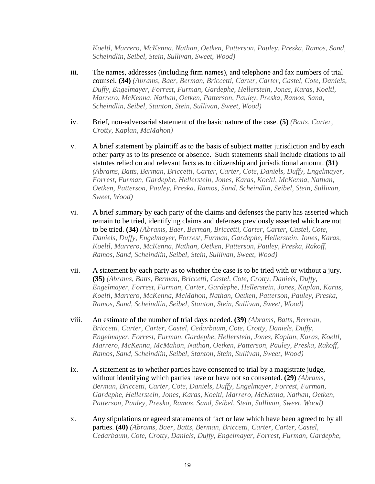*Koeltl, Marrero, McKenna, Nathan, Oetken, Patterson, Pauley, Preska, Ramos, Sand, Scheindlin, Seibel, Stein, Sullivan, Sweet, Wood)*

- iii. The names, addresses (including firm names), and telephone and fax numbers of trial counsel. **(34)** *(Abrams, Baer, Berman, Briccetti, Carter, Carter, Castel, Cote, Daniels, Duffy, Engelmayer, Forrest, Furman, Gardephe, Hellerstein, Jones, Karas, Koeltl, Marrero, McKenna, Nathan, Oetken, Patterson, Pauley, Preska, Ramos, Sand, Scheindlin, Seibel, Stanton, Stein, Sullivan, Sweet, Wood)*
- <span id="page-21-0"></span>iv. Brief, non-adversarial statement of the basic nature of the case. **(5)** *(Batts, Carter, Crotty, Kaplan, McMahon)*
- v. A brief statement by plaintiff as to the basis of subject matter jurisdiction and by each other party as to its presence or absence. Such statements shall include citations to all statutes relied on and relevant facts as to citizenship and jurisdictional amount. **(31)**  *(Abrams, Batts, Berman, Briccetti, Carter, Carter, Cote, Daniels, Duffy, Engelmayer, Forrest, Furman, Gardephe, Hellerstein, Jones, Karas, Koeltl, McKenna, Nathan, Oetken, Patterson, Pauley, Preska, Ramos, Sand, Scheindlin, Seibel, Stein, Sullivan, Sweet, Wood)*
- <span id="page-21-2"></span><span id="page-21-1"></span>vi. A brief summary by each party of the claims and defenses the party has asserted which remain to be tried, identifying claims and defenses previously asserted which are not to be tried. **(34)** *(Abrams, Baer, Berman, Briccetti, Carter, Carter, Castel, Cote, Daniels, Duffy, Engelmayer, Forrest, Furman, Gardephe, Hellerstein, Jones, Karas, Koeltl, Marrero, McKenna, Nathan, Oetken, Patterson, Pauley, Preska, Rakoff, Ramos, Sand, Scheindlin, Seibel, Stein, Sullivan, Sweet, Wood)*
- vii. A statement by each party as to whether the case is to be tried with or without a jury. **(35)** *(Abrams, Batts, Berman, Briccetti, Castel, Cote, Crotty, Daniels, Duffy, Engelmayer, Forrest, Furman, Carter, Gardephe, Hellerstein, Jones, Kaplan, Karas, Koeltl, Marrero, McKenna, McMahon, Nathan, Oetken, Patterson, Pauley, Preska, Ramos, Sand, Scheindlin, Seibel, Stanton, Stein, Sullivan, Sweet, Wood)*
- viii. An estimate of the number of trial days needed. **(39)** *(Abrams, Batts, Berman, Briccetti, Carter, Carter, Castel, Cedarbaum, Cote, Crotty, Daniels, Duffy, Engelmayer, Forrest, Furman, Gardephe, Hellerstein, Jones, Kaplan, Karas, Koeltl, Marrero, McKenna, McMahon, Nathan, Oetken, Patterson, Pauley, Preska, Rakoff, Ramos, Sand, Scheindlin, Seibel, Stanton, Stein, Sullivan, Sweet, Wood)*
- ix. A statement as to whether parties have consented to trial by a magistrate judge, without identifying which parties have or have not so consented. **(29)** *(Abrams, Berman, Briccetti, Carter, Cote, Daniels, Duffy, Engelmayer, Forrest, Furman, Gardephe, Hellerstein, Jones, Karas, Koeltl, Marrero, McKenna, Nathan, Oetken, Patterson, Pauley, Preska, Ramos, Sand, Seibel, Stein, Sullivan, Sweet, Wood)*
- x. Any stipulations or agreed statements of fact or law which have been agreed to by all parties. **(40)** *(Abrams, Baer, Batts, Berman, Briccetti, Carter, Carter, Castel, Cedarbaum, Cote, Crotty, Daniels, Duffy, Engelmayer, Forrest, Furman, Gardephe,*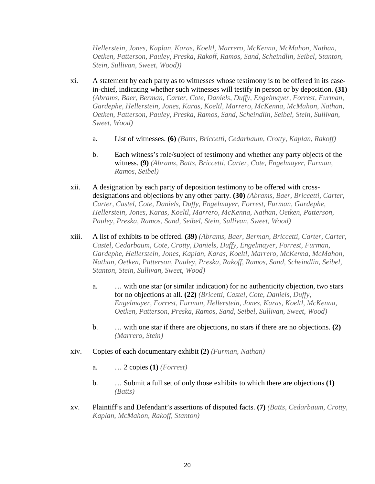*Hellerstein, Jones, Kaplan, Karas, Koeltl, Marrero, McKenna, McMahon, Nathan, Oetken, Patterson, Pauley, Preska, Rakoff, Ramos, Sand, Scheindlin, Seibel, Stanton, Stein, Sullivan, Sweet, Wood))*

- xi. A statement by each party as to witnesses whose testimony is to be offered in its casein-chief, indicating whether such witnesses will testify in person or by deposition. **(31)**  *(Abrams, Baer, Berman, Carter, Cote, Daniels, Duffy, Engelmayer, Forrest, Furman, Gardephe, Hellerstein, Jones, Karas, Koeltl, Marrero, McKenna, McMahon, Nathan, Oetken, Patterson, Pauley, Preska, Ramos, Sand, Scheindlin, Seibel, Stein, Sullivan, Sweet, Wood)*
	- a. List of witnesses. **(6)** *(Batts, Briccetti, Cedarbaum, Crotty, Kaplan, Rakoff)*
	- b. Each witness's role/subject of testimony and whether any party objects of the witness. **(9)** *(Abrams, Batts, Briccetti, Carter, Cote, Engelmayer, Furman, Ramos, Seibel)*
- xii. A designation by each party of deposition testimony to be offered with crossdesignations and objections by any other party. **(30)** *(Abrams, Baer, Briccetti, Carter, Carter, Castel, Cote, Daniels, Duffy, Engelmayer, Forrest, Furman, Gardephe, Hellerstein, Jones, Karas, Koeltl, Marrero, McKenna, Nathan, Oetken, Patterson, Pauley, Preska, Ramos, Sand, Seibel, Stein, Sullivan, Sweet, Wood)*
- xiii. A list of exhibits to be offered. **(39)** *(Abrams, Baer, Berman, Briccetti, Carter, Carter, Castel, Cedarbaum, Cote, Crotty, Daniels, Duffy, Engelmayer, Forrest, Furman, Gardephe, Hellerstein, Jones, Kaplan, Karas, Koeltl, Marrero, McKenna, McMahon, Nathan, Oetken, Patterson, Pauley, Preska, Rakoff, Ramos, Sand, Scheindlin, Seibel, Stanton, Stein, Sullivan, Sweet, Wood)*
	- a. … with one star (or similar indication) for no authenticity objection, two stars for no objections at all. **(22)** *(Bricetti, Castel, Cote, Daniels, Duffy, Engelmayer, Forrest, Furman, Hellerstein, Jones, Karas, Koeltl, McKenna, Oetken, Patterson, Preska, Ramos, Sand, Seibel, Sullivan, Sweet, Wood)*
	- b. … with one star if there are objections, no stars if there are no objections. **(2)**  *(Marrero, Stein)*
- xiv. Copies of each documentary exhibit **(2)** *(Furman, Nathan)*
	- a. … 2 copies **(1)** *(Forrest)*
	- b. … Submit a full set of only those exhibits to which there are objections **(1)**  *(Batts)*
- xv. Plaintiff's and Defendant's assertions of disputed facts. **(7)** *(Batts, Cedarbaum, Crotty, Kaplan, McMahon, Rakoff, Stanton)*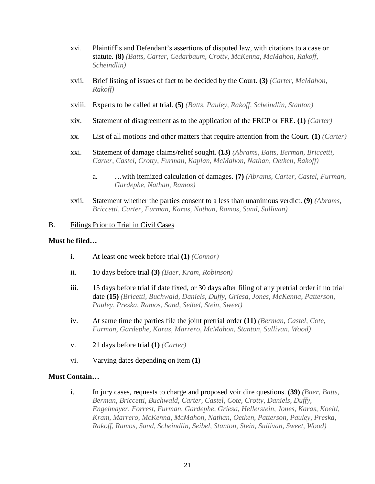- xvi. Plaintiff's and Defendant's assertions of disputed law, with citations to a case or statute. **(8)** *(Batts, Carter, Cedarbaum, Crotty, McKenna, McMahon, Rakoff, Scheindlin)*
- xvii. Brief listing of issues of fact to be decided by the Court. **(3)** *(Carter, McMahon, Rakoff)*
- xviii. Experts to be called at trial. **(5)** *(Batts, Pauley, Rakoff, Scheindlin, Stanton)*
- xix. Statement of disagreement as to the application of the FRCP or FRE. **(1)** *(Carter)*
- xx. List of all motions and other matters that require attention from the Court. **(1)** *(Carter)*
- xxi. Statement of damage claims/relief sought. **(13)** *(Abrams, Batts, Berman, Briccetti, Carter, Castel, Crotty, Furman, Kaplan, McMahon, Nathan, Oetken, Rakoff)*
	- a. …with itemized calculation of damages. **(7)** *(Abrams, Carter, Castel, Furman, Gardephe, Nathan, Ramos)*
- xxii. Statement whether the parties consent to a less than unanimous verdict. **(9)** *(Abrams, Briccetti, Carter, Furman, Karas, Nathan, Ramos, Sand, Sullivan)*

#### B. Filings Prior to Trial in Civil Cases

#### **Must be filed…**

- i. At least one week before trial **(1)** *(Connor)*
- ii. 10 days before trial **(3)** *(Baer, Kram, Robinson)*
- iii. 15 days before trial if date fixed, or 30 days after filing of any pretrial order if no trial date **(15)** *(Bricetti, Buchwald, Daniels, Duffy, Griesa, Jones, McKenna, Patterson, Pauley, Preska, Ramos, Sand, Seibel, Stein, Sweet)*
- iv. At same time the parties file the joint pretrial order **(11)** *(Berman, Castel, Cote, Furman, Gardephe, Karas, Marrero, McMahon, Stanton, Sullivan, Wood)*
- v. 21 days before trial **(1)** *(Carter)*
- vi. Varying dates depending on item **(1)**

## **Must Contain…**

i. In jury cases, requests to charge and proposed voir dire questions. **(39)** *(Baer, Batts, Berman, Briccetti, Buchwald, Carter, Castel, Cote, Crotty, Daniels, Duffy, Engelmayer, Forrest, Furman, Gardephe, Griesa, Hellerstein, Jones, Karas, Koeltl, Kram, Marrero, McKenna, McMahon, Nathan, Oetken, Patterson, Pauley, Preska, Rakoff, Ramos, Sand, Scheindlin, Seibel, Stanton, Stein, Sullivan, Sweet, Wood)*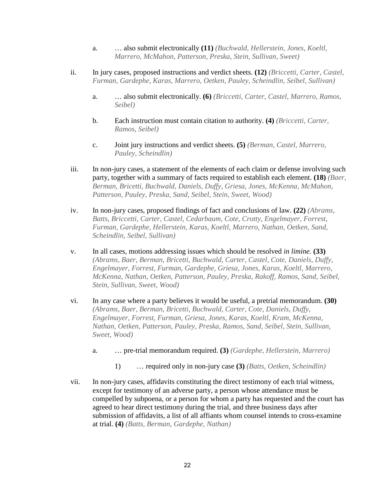- a. … also submit electronically **(11)** *(Buchwald, Hellerstein, Jones, Koeltl, Marrero, McMahon, Patterson, Preska, Stein, Sullivan, Sweet)*
- ii. In jury cases, proposed instructions and verdict sheets. **(12)** *(Briccetti, Carter, Castel, Furman, Gardephe, Karas, Marrero, Oetken, Pauley, Scheindlin, Seibel, Sullivan)*
	- a. … also submit electronically. **(6)** *(Briccetti, Carter, Castel, Marrero, Ramos, Seibel)*
	- b. Each instruction must contain citation to authority. **(4)** *(Briccetti, Carter, Ramos, Seibel)*
	- c. Joint jury instructions and verdict sheets. **(5)** *(Berman, Castel, Marrero, Pauley, Scheindlin)*
- iii. In non-jury cases, a statement of the elements of each claim or defense involving such party, together with a summary of facts required to establish each element. **(18)** *(Baer, Berman, Bricetti, Buchwald, Daniels, Duffy, Griesa, Jones, McKenna, McMahon, Patterson, Pauley, Preska, Sand, Seibel, Stein, Sweet, Wood)*
- <span id="page-24-0"></span>iv. In non-jury cases, proposed findings of fact and conclusions of law. **(22)** *(Abrams, Batts, Briccetti, Carter, Castel, Cedarbaum, Cote, Crotty, Engelmayer, Forrest, Furman, Gardephe, Hellerstein, Karas, Koeltl, Marrero, Nathan, Oetken, Sand, Scheindlin, Seibel, Sullivan)*
- v. In all cases, motions addressing issues which should be resolved *in limine.* **(33)**  *(Abrams, Baer, Berman, Bricetti, Buchwald, Carter, Castel, Cote, Daniels, Duffy, Engelmayer, Forrest, Furman, Gardephe, Griesa, Jones, Karas, Koeltl, Marrero, McKenna, Nathan, Oetken, Patterson, Pauley, Preska, Rakoff, Ramos, Sand, Seibel, Stein, Sullivan, Sweet, Wood)*
- vi. In any case where a party believes it would be useful, a pretrial memorandum. **(30)**  *(Abrams, Baer, Berman, Bricetti, Buchwald, Carter, Cote, Daniels, Duffy, Engelmayer, Forrest, Furman, Griesa, Jones, Karas, Koeltl, Kram, McKenna, Nathan, Oetken, Patterson, Pauley, Preska, Ramos, Sand, Seibel, Stein, Sullivan, Sweet, Wood)*
	- a. … pre-trial memorandum required. **(3)** *(Gardephe, Hellerstein, Marrero)*
		- 1) … required only in non-jury case **(3)** *(Batts, Oetken, Scheindlin)*
- vii. In non-jury cases, affidavits constituting the direct testimony of each trial witness, except for testimony of an adverse party, a person whose attendance must be compelled by subpoena, or a person for whom a party has requested and the court has agreed to hear direct testimony during the trial, and three business days after submission of affidavits, a list of all affiants whom counsel intends to cross-examine at trial. **(4)** *(Batts, Berman, Gardephe, Nathan)*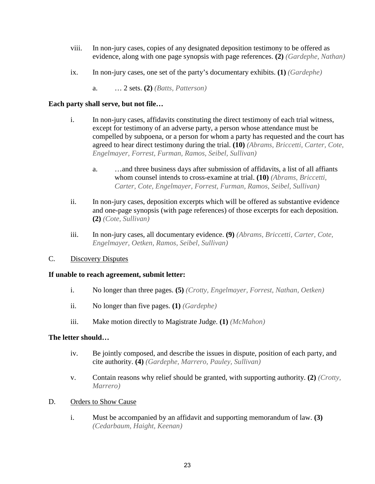- viii. In non-jury cases, copies of any designated deposition testimony to be offered as evidence, along with one page synopsis with page references. **(2)** *(Gardephe, Nathan)*
- ix. In non-jury cases, one set of the party's documentary exhibits. **(1)** *(Gardephe)*
	- a. … 2 sets. **(2)** *(Batts, Patterson)*

## **Each party shall serve, but not file…**

- i. In non-jury cases, affidavits constituting the direct testimony of each trial witness, except for testimony of an adverse party, a person whose attendance must be compelled by subpoena, or a person for whom a party has requested and the court has agreed to hear direct testimony during the trial. **(10)** *(Abrams, Briccetti, Carter, Cote, Engelmayer, Forrest, Furman, Ramos, Seibel, Sullivan)*
	- a. …and three business days after submission of affidavits, a list of all affiants whom counsel intends to cross-examine at trial. **(10)** *(Abrams, Briccetti, Carter, Cote, Engelmayer, Forrest, Furman, Ramos, Seibel, Sullivan)*
- ii. In non-jury cases, deposition excerpts which will be offered as substantive evidence and one-page synopsis (with page references) of those excerpts for each deposition. **(2)** *(Cote, Sullivan)*
- iii. In non-jury cases, all documentary evidence. **(9)** *(Abrams, Briccetti, Carter, Cote, Engelmayer, Oetken, Ramos, Seibel, Sullivan)*

## C. Discovery Disputes

## **If unable to reach agreement, submit letter:**

- i. No longer than three pages. **(5)** *(Crotty, Engelmayer, Forrest, Nathan, Oetken)*
- ii. No longer than five pages. **(1)** *(Gardephe)*
- iii. Make motion directly to Magistrate Judge. **(1)** *(McMahon)*

## **The letter should…**

- iv. Be jointly composed, and describe the issues in dispute, position of each party, and cite authority. **(4)** *(Gardephe, Marrero, Pauley, Sullivan)*
- v. Contain reasons why relief should be granted, with supporting authority. **(2)** *(Crotty, Marrero)*
- D. Orders to Show Cause
	- i. Must be accompanied by an affidavit and supporting memorandum of law. **(3)**  *(Cedarbaum, Haight, Keenan)*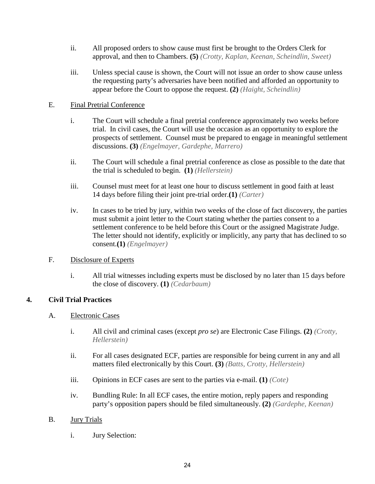- ii. All proposed orders to show cause must first be brought to the Orders Clerk for approval, and then to Chambers. **(5)** *(Crotty, Kaplan, Keenan, Scheindlin, Sweet)*
- iii. Unless special cause is shown, the Court will not issue an order to show cause unless the requesting party's adversaries have been notified and afforded an opportunity to appear before the Court to oppose the request. **(2)** *(Haight, Scheindlin)*

## E. Final Pretrial Conference

- i. The Court will schedule a final pretrial conference approximately two weeks before trial. In civil cases, the Court will use the occasion as an opportunity to explore the prospects of settlement. Counsel must be prepared to engage in meaningful settlement discussions. **(3)** *(Engelmayer, Gardephe, Marrero)*
- ii. The Court will schedule a final pretrial conference as close as possible to the date that the trial is scheduled to begin. **(1)** *(Hellerstein)*
- iii. Counsel must meet for at least one hour to discuss settlement in good faith at least 14 days before filing their joint pre-trial order.**(1)** *(Carter)*
- iv. In cases to be tried by jury, within two weeks of the close of fact discovery, the parties must submit a joint letter to the Court stating whether the parties consent to a settlement conference to be held before this Court or the assigned Magistrate Judge. The letter should not identify, explicitly or implicitly, any party that has declined to so consent.**(1)** *(Engelmayer)*

## <span id="page-26-0"></span>F. Disclosure of Experts

i. All trial witnesses including experts must be disclosed by no later than 15 days before the close of discovery. **(1)** *(Cedarbaum)*

## **4. Civil Trial Practices**

## A. Electronic Cases

- i. All civil and criminal cases (except *pro se*) are Electronic Case Filings. **(2)** *(Crotty, Hellerstein)*
- ii. For all cases designated ECF, parties are responsible for being current in any and all matters filed electronically by this Court. **(3)** *(Batts, Crotty, Hellerstein)*
- iii. Opinions in ECF cases are sent to the parties via e-mail. **(1)** *(Cote)*
- iv. Bundling Rule: In all ECF cases, the entire motion, reply papers and responding party's opposition papers should be filed simultaneously. **(2)** *(Gardephe, Keenan)*

## <span id="page-26-1"></span>B. Jury Trials

i. Jury Selection: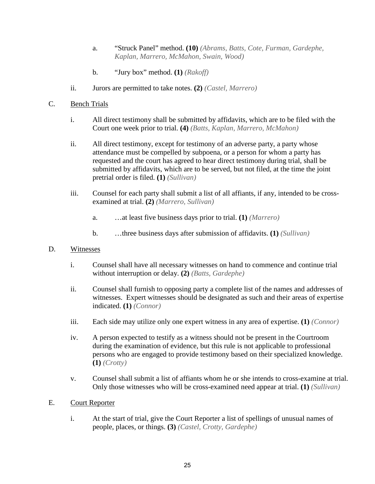- a. "Struck Panel" method. **(10)** *(Abrams, Batts, Cote, Furman, Gardephe, Kaplan, Marrero, McMahon, Swain, Wood)*
- b. "Jury box" method. **(1)** *(Rakoff)*
- ii. Jurors are permitted to take notes. **(2)** *(Castel, Marrero)*
- <span id="page-27-0"></span>C. Bench Trials
	- i. All direct testimony shall be submitted by affidavits, which are to be filed with the Court one week prior to trial. **(4)** *(Batts, Kaplan, Marrero, McMahon)*
	- ii. All direct testimony, except for testimony of an adverse party, a party whose attendance must be compelled by subpoena, or a person for whom a party has requested and the court has agreed to hear direct testimony during trial, shall be submitted by affidavits, which are to be served, but not filed, at the time the joint pretrial order is filed. **(1)** *(Sullivan)*
	- iii. Counsel for each party shall submit a list of all affiants, if any, intended to be crossexamined at trial. **(2)** *(Marrero, Sullivan)*
		- a. …at least five business days prior to trial. **(1)** *(Marrero)*
		- b. …three business days after submission of affidavits. **(1)** *(Sullivan)*
- <span id="page-27-3"></span><span id="page-27-2"></span><span id="page-27-1"></span>D. Witnesses
	- i. Counsel shall have all necessary witnesses on hand to commence and continue trial without interruption or delay. **(2)** *(Batts, Gardephe)*
	- ii. Counsel shall furnish to opposing party a complete list of the names and addresses of witnesses. Expert witnesses should be designated as such and their areas of expertise indicated. **(1)** *(Connor)*
	- iii. Each side may utilize only one expert witness in any area of expertise. **(1)** *(Connor)*
	- iv. A person expected to testify as a witness should not be present in the Courtroom during the examination of evidence, but this rule is not applicable to professional persons who are engaged to provide testimony based on their specialized knowledge. **(1)** *(Crotty)*
	- v. Counsel shall submit a list of affiants whom he or she intends to cross-examine at trial. Only those witnesses who will be cross-examined need appear at trial. **(1)** *(Sullivan)*

## <span id="page-27-4"></span>E. Court Reporter

i. At the start of trial, give the Court Reporter a list of spellings of unusual names of people, places, or things. **(3)** *(Castel, Crotty, Gardephe)*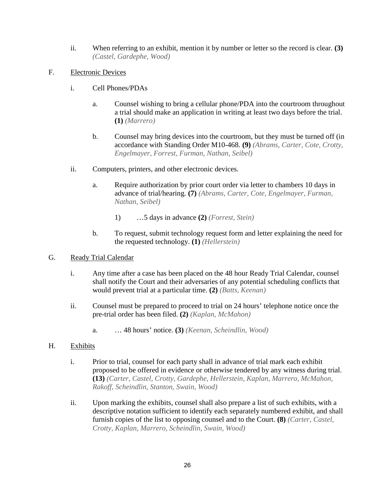- ii. When referring to an exhibit, mention it by number or letter so the record is clear. **(3)**  *(Castel, Gardephe, Wood)*
- <span id="page-28-0"></span>F. Electronic Devices
	- i. Cell Phones/PDAs
		- a. Counsel wishing to bring a cellular phone/PDA into the courtroom throughout a trial should make an application in writing at least two days before the trial. **(1)** *(Marrero)*
		- b. Counsel may bring devices into the courtroom, but they must be turned off (in accordance with Standing Order M10-468. **(9)** *(Abrams, Carter, Cote, Crotty, Engelmayer, Forrest, Furman, Nathan, Seibel)*
	- ii. Computers, printers, and other electronic devices.
		- a. Require authorization by prior court order via letter to chambers 10 days in advance of trial/hearing. **(7)** *(Abrams, Carter, Cote, Engelmayer, Furman, Nathan, Seibel)*
			- 1) …5 days in advance **(2)** *(Forrest, Stein)*
		- b. To request, submit technology request form and letter explaining the need for the requested technology. **(1)** *(Hellerstein)*

## <span id="page-28-1"></span>G. Ready Trial Calendar

- i. Any time after a case has been placed on the 48 hour Ready Trial Calendar, counsel shall notify the Court and their adversaries of any potential scheduling conflicts that would prevent trial at a particular time. **(2)** *(Batts, Keenan)*
- ii. Counsel must be prepared to proceed to trial on 24 hours' telephone notice once the pre-trial order has been filed. **(2)** *(Kaplan, McMahon)*
	- a. … 48 hours' notice. **(3)** *(Keenan, Scheindlin, Wood)*

## H. Exhibits

- i. Prior to trial, counsel for each party shall in advance of trial mark each exhibit proposed to be offered in evidence or otherwise tendered by any witness during trial. **(13)** *(Carter, Castel, Crotty, Gardephe, Hellerstein, Kaplan, Marrero, McMahon, Rakoff, Scheindlin, Stanton, Swain, Wood)*
- <span id="page-28-2"></span>ii. Upon marking the exhibits, counsel shall also prepare a list of such exhibits, with a descriptive notation sufficient to identify each separately numbered exhibit, and shall furnish copies of the list to opposing counsel and to the Court. **(8)** *(Carter, Castel, Crotty, Kaplan, Marrero, Scheindlin, Swain, Wood)*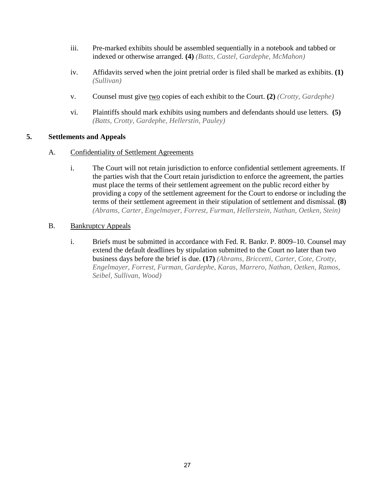- iii. Pre-marked exhibits should be assembled sequentially in a notebook and tabbed or indexed or otherwise arranged. **(4)** *(Batts, Castel, Gardephe, McMahon)*
- <span id="page-29-0"></span>iv. Affidavits served when the joint pretrial order is filed shall be marked as exhibits. **(1)**  *(Sullivan)*
- v. Counsel must give two copies of each exhibit to the Court. **(2)** *(Crotty, Gardephe)*
- vi. Plaintiffs should mark exhibits using numbers and defendants should use letters. **(5)**  *(Batts, Crotty, Gardephe, Hellerstin, Pauley)*

## **5. Settlements and Appeals**

- A. Confidentiality of Settlement Agreements
	- i. The Court will not retain jurisdiction to enforce confidential settlement agreements. If the parties wish that the Court retain jurisdiction to enforce the agreement, the parties must place the terms of their settlement agreement on the public record either by providing a copy of the settlement agreement for the Court to endorse or including the terms of their settlement agreement in their stipulation of settlement and dismissal. **(8)**  *(Abrams, Carter, Engelmayer, Forrest, Furman, Hellerstein, Nathan, Oetken, Stein)*
- <span id="page-29-2"></span><span id="page-29-1"></span>B. Bankruptcy Appeals
	- i. Briefs must be submitted in accordance with Fed. R. Bankr. P. 8009–10. Counsel may extend the default deadlines by stipulation submitted to the Court no later than two business days before the brief is due. **(17)** *(Abrams, Briccetti, Carter, Cote, Crotty, Engelmayer, Forrest, Furman, Gardephe, Karas, Marrero, Nathan, Oetken, Ramos, Seibel, Sullivan, Wood)*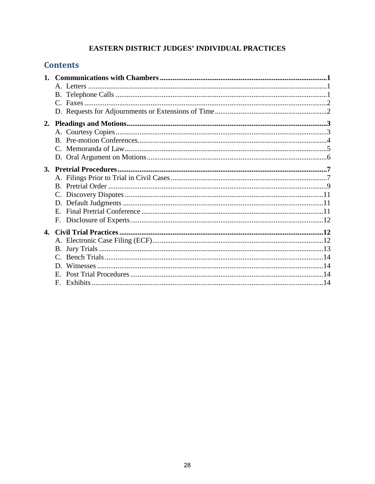## EASTERN DISTRICT JUDGES' INDIVIDUAL PRACTICES

## **Contents**

|              | $E_{\rm c}$  |  |
|--------------|--------------|--|
|              |              |  |
| $\mathbf{4}$ |              |  |
|              |              |  |
|              |              |  |
|              |              |  |
|              |              |  |
|              |              |  |
|              | $\mathbf{F}$ |  |
|              |              |  |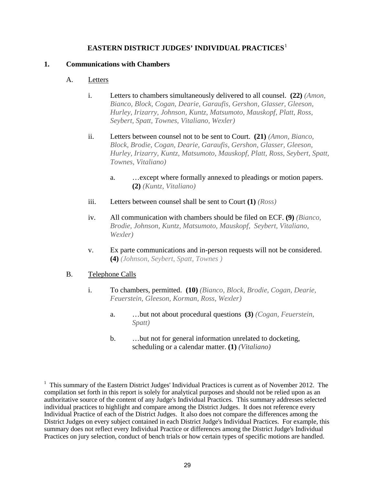## **EASTERN DISTRICT JUDGES' INDIVIDUAL PRACTICES**<sup>1</sup>

## **1. Communications with Chambers**

## A. Letters

- i. Letters to chambers simultaneously delivered to all counsel. **(22)** *(Amon, Bianco, Block, Cogan, Dearie, Garaufis, Gershon, Glasser, Gleeson, Hurley, Irizarry, Johnson, Kuntz, Matsumoto, Mauskopf, Platt, Ross, Seybert, Spatt, Townes, Vitaliano, Wexler)*
- ii. Letters between counsel not to be sent to Court. **(21)** *(Amon, Bianco, Block, Brodie, Cogan, Dearie, Garaufis, Gershon, Glasser, Gleeson, Hurley, Irizarry, Kuntz, Matsumoto, Mauskopf, Platt, Ross, Seybert, Spatt, Townes, Vitaliano)*
	- a. …except where formally annexed to pleadings or motion papers. **(2)** *(Kuntz, Vitaliano)*
- iii. Letters between counsel shall be sent to Court **(1)** *(Ross)*
- iv. All communication with chambers should be filed on ECF. **(9)** *(Bianco, Brodie, Johnson, Kuntz, Matsumoto, Mauskopf, Seybert, Vitaliano, Wexler)*
- v. Ex parte communications and in-person requests will not be considered. **(4)** *(Johnson, Seybert, Spatt, Townes )*

## B. Telephone Calls

- i. To chambers, permitted. **(10)** *(Bianco, Block, Brodie, Cogan, Dearie, Feuerstein, Gleeson, Korman, Ross, Wexler)*
	- a. …but not about procedural questions **(3)** *(Cogan, Feuerstein, Spatt)*
	- b. …but not for general information unrelated to docketing, scheduling or a calendar matter. **(1)** *(Vitaliano)*

<sup>&</sup>lt;sup>1</sup> This summary of the Eastern District Judges' Individual Practices is current as of November 2012. The compilation set forth in this report is solely for analytical purposes and should not be relied upon as an authoritative source of the content of any Judge's Individual Practices. This summary addresses selected individual practices to highlight and compare among the District Judges. It does not reference every Individual Practice of each of the District Judges. It also does not compare the differences among the District Judges on every subject contained in each District Judge's Individual Practices. For example, this summary does not reflect every Individual Practice or differences among the District Judge's Individual Practices on jury selection, conduct of bench trials or how certain types of specific motions are handled.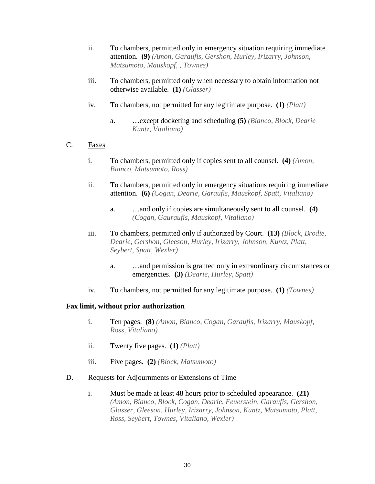- <span id="page-32-0"></span>ii. To chambers, permitted only in emergency situation requir[in](#page-32-3)g immediate attention. **(9)** *(Amon, Garaufis, Gershon, Hurley, Irizarry, Johnson, Matsumoto, Mauskopf, , Townes)*
- <span id="page-32-1"></span>iii. To chambers, permitted only when necessary to obtain information not otherwise available. **(1)** *(Glasser)*
- iv. To chambers, not permitted for any legitimate purpose. **(1)** *(Platt)*
	- a. …except docketing and scheduling **(5)** *(Bianco, Block, Dearie Kuntz, Vitaliano)*
- C. Faxes
	- i. To chambers, permitted only if copies sent to all counsel. **(4)** *(Amon, Bianco, Matsumoto, Ross)*
	- ii. To chambers, permitted only in emergency situations requiring immediate attention. **(6)** *(Cogan, Dearie, Garaufis, Mauskopf, Spatt, Vitaliano)*
		- a. …and only if copies are simultaneously sent to all counsel. **(4)**  *(Cogan, Gauraufis, Mauskopf, Vitaliano)*
	- iii. To chambers, permitted only if authorized by Court. **(13)** *(Block, Brodie, Dearie, Gershon, Gleeson, Hurley, Irizarry, Johnson, Kuntz, Platt, Seybert, Spatt, Wexler)*
		- a. …and permission is granted only in extraordinary circumstances or emergencies. **(3)** *(Dearie, Hurley, Spatt)*
	- iv. To chambers, not permitted for any legitimate purpose. **(1)** *(Townes)*

## <span id="page-32-2"></span> **Fax limit, without prior authorization**

- i. Ten pages. **(8)** *(Amon, Bianco, Cogan, Garaufis, Irizarry, Mauskopf, Ross, Vitaliano)*
- ii. Twenty five pages. **(1)** *(Platt)*
- iii. Five pages. **(2)** *(Block, Matsumoto)*

#### <span id="page-32-3"></span>D. Requests for Adjournments or Extensions of Time

i. Must be made at least 48 hours prior to scheduled appearance. **(21)**  *(Amon, Bianco, Block, Cogan, Dearie, Feuerstein, Garaufis, Gershon, Glasser, Gleeson, Hurley, Irizarry, Johnson, Kuntz, Matsumoto, Platt, Ross, Seybert, Townes, Vitaliano, Wexler)*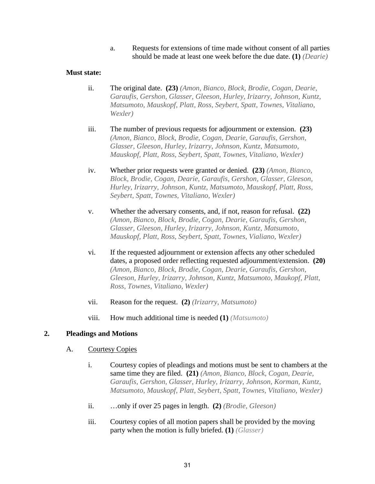a. Requests for extensions of time made without consent of all parties should be made at least one week before the due date. **(1)** *(Dearie)*

## **Must state:**

- ii. The original date. **(23)** *(Amon, Bianco, Block, Brodie, Cogan, Dearie, Garaufis, Gershon, Glasser, Gleeson, Hurley, Irizarry, Johnson, Kuntz, Matsumoto, Mauskopf, Platt, Ross, Seybert, Spatt, Townes, Vitaliano, Wexler)*
- <span id="page-33-0"></span>iii. The number of previous requests for adjournment or extension. **(23)**  *(Amon, Bianco, Block, Brodie, Cogan, Dearie, Garaufis, Gershon, Glasser, Gleeson, Hurley, Irizarry, Johnson, Kuntz, Matsumoto, Mauskopf, Platt, Ross, Seybert, Spatt, Townes, Vitaliano, Wexler)*
- iv. Whether prior requests were granted or denied. **(23)** *(Amon, Bianco, Block, Brodie, Cogan, Dearie, Garaufis, Gershon, Glasser, Gleeson, Hurley, Irizarry, Johnson, Kuntz, Matsumoto, Mauskopf, Platt, Ross, Seybert, Spatt, Townes, Vitaliano, Wexler)*
- v. Whether the adversary consents, and, if not, reason for refusal. **(22)**  *(Amon, Bianco, Block, Brodie, Cogan, Dearie, Garaufis, Gershon, Glasser, Gleeson, Hurley, Irizarry, Johnson, Kuntz, Matsumoto, Mauskopf, Platt, Ross, Seybert, Spatt, Townes, Vialiano, Wexler)*
- vi. If the requested adjournment or extension affects any other scheduled dates, a proposed order reflecting requested adjournment/extension. **(20)**  *(Amon, Bianco, Block, Brodie, Cogan, Dearie, Garaufis, Gershon, Gleeson, Hurley, Irizarry, Johnson, Kuntz, Matsumoto, Maukopf, Platt, Ross, Townes, Vitaliano, Wexler)*
- vii. Reason for the request. **(2)** *(Irizarry, Matsumoto)*
- viii. How much additional time is needed **(1)** *(Matsumoto)*

## **2. Pleadings and Motions**

## <span id="page-33-1"></span>A. Courtesy Copies

- i. Courtesy copies of pleadings and motions must be sent to chambers at the same time they are filed. **(21)** *(Amon, Bianco, Block, Cogan, Dearie, Garaufis, Gershon, Glasser, Hurley, Irizarry, Johnson, Korman, Kuntz, Matsumoto, Mauskopf, Platt, Seybert, Spatt, Townes, Vitaliano, Wexler)*
- ii. …only if over 25 pages in length. **(2)** *(Brodie, Gleeson)*
- iii. Courtesy copies of all motion papers shall be provided by the moving party when the motion is fully briefed. **(1)** *(Glasser)*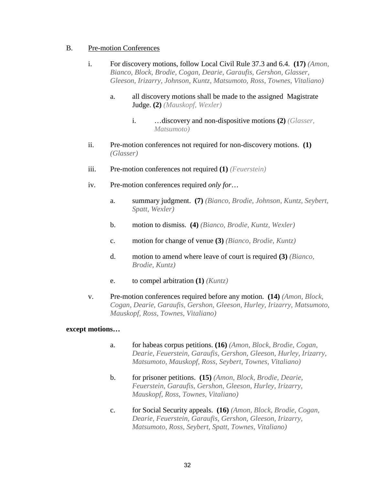#### B. Pre-motion Conferences

- i. For discovery motions, follow Local Civil Rule 37.3 and 6.4. **(17)** *(Amon, Bianco, Block, Brodie, Cogan, Dearie, Garaufis, Gershon, Glasser, Gleeson, Irizarry, Johnson, Kuntz, Matsumoto, Ross, Townes, Vitaliano)*
	- a. all discovery motions shall be made to the assigned Magistrate Judge. **(2)** *(Mauskopf, Wexler)*
		- i. …discovery and non-dispositive motions **(2)** *(Glasser, Matsumoto)*
- ii. Pre-motion conferences not required for non-discovery motions. **(1)**  *(Glasser)*
- iii. Pre-motion conferences not required **(1)** *(Feuerstein)*
- iv. Pre-motion conferences required *only for*…
	- a. summary judgment. **(7)** *(Bianco, Brodie, Johnson, Kuntz, Seybert, Spatt, Wexler)*
	- b. motion to dismiss. **(4)** *(Bianco, Brodie, Kuntz, Wexler)*
	- c. motion for change of venue **(3)** *(Bianco, Brodie, Kuntz)*
	- d. motion to amend where leave of court is required **(3)** *(Bianco, Brodie, Kuntz)*
	- e. to compel arbitration **(1)** *(Kuntz)*
- v. Pre-motion conferences required before any motion. **(14)** *(Amon, Block, Cogan, Dearie, Garaufis, Gershon, Gleeson, Hurley, Irizarry, Matsumoto, Mauskopf, Ross, Townes, Vitaliano)*

#### <span id="page-34-1"></span><span id="page-34-0"></span>**except motions…**

- a. for habeas corpus petitions. **(16)** *(Amon, Block, Brodie, Cogan, Dearie, Feuerstein, Garaufis, Gershon, Gleeson, Hurley, Irizarry, Matsumoto, Mauskopf, Ross, Seybert, Townes, Vitaliano)*
- b. for prisoner petitions. **(15)** *(Amon, Block, Brodie, Dearie, Feuerstein, Garaufis, Gershon, Gleeson, Hurley, Irizarry, Mauskopf, Ross, Townes, Vitaliano)*
- c. for Social Security appeals. **(16)** *(Amon, Block, Brodie, Cogan, Dearie, Feuerstein, Garaufis, Gershon, Gleeson, Irizarry, Matsumoto, Ross, Seybert, Spatt, Townes, Vitaliano)*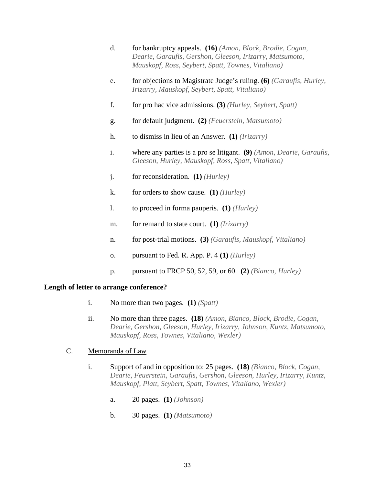<span id="page-35-0"></span>

| d. | for bankruptcy appeals. (16) (Amon, Block, Brodie, Cogan, |
|----|-----------------------------------------------------------|
|    | Dearie, Garaufis, Gershon, Gleeson, Irizarry, Matsumoto,  |
|    | Mauskopf, Ross, Seybert, Spatt, Townes, Vitaliano)        |

- e. for objections to Magistrate Judge's ruling. **(6)** *(Garaufis, Hurley, Irizarry, Mauskopf, Seybert, Spatt, Vitaliano)*
- f. for pro hac vice admissions. **(3)** *(Hurley, Seybert, Spatt)*
- g. for default judgment. **(2)** *(Feuerstein, Matsumoto)*
- h. to dismiss in lieu of an Answer. **(1)** *(Irizarry)*
- i. where any parties is a pro se litigant. **(9)** *(Amon, Dearie, Garaufis, Gleeson, Hurley, Mauskopf, Ross, Spatt, Vitaliano)*
- j. for reconsideration. **(1)** *(Hurley)*
- k. for orders to show cause. **(1)** *(Hurley)*
- l. to proceed in forma pauperis. **(1)** *(Hurley)*
- m. for remand to state court. **(1)** *(Irizarry)*
- n. for post-trial motions. **(3)** *(Garaufis, Mauskopf, Vitaliano)*
- o. pursuant to Fed. R. App. P. 4 **(1)** *(Hurley)*
- p. pursuant to FRCP 50, 52, 59, or 60. **(2)** *(Bianco, Hurley)*

#### **Length of letter to arrange conference?**

- i. No more than two pages. **(1)** *(Spatt)*
- ii. No more than three pages. **(18)** *(Amon, Bianco, Block, Brodie, Cogan, Dearie, Gershon, Gleeson, Hurley, Irizarry, Johnson, Kuntz, Matsumoto, Mauskopf, Ross, Townes, Vitaliano, Wexler)*

## C. Memoranda of Law

- i. Support of and in opposition to: 25 pages. **(18)** *(Bianco, Block, Cogan, Dearie, Feuerstein, Garaufis, Gershon, Gleeson, Hurley, Irizarry, Kuntz, Mauskopf, Platt, Seybert, Spatt, Townes, Vitaliano, Wexler)*
	- a. 20 pages. **(1)** *(Johnson)*
	- b. 30 pages. **(1)** *(Matsumoto)*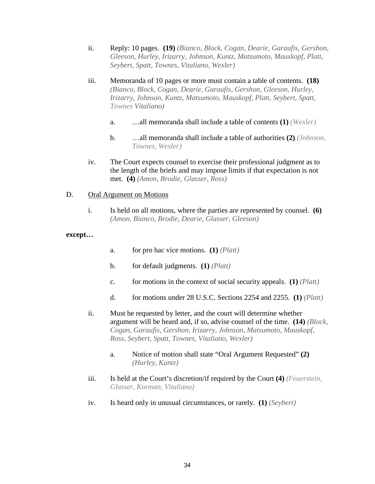- ii. Reply: 10 pages. **(19)** *(Bianco, Block, Cogan, Dearie, Garaufis, Gershon, Gleeson, Hurley, Irizarry, Johnson, Kuntz, Matsumoto, Mauskopf, Platt, Seybert, Spatt, Townes, Vitaliano, Wexler)*
- iii. Memoranda of 10 pages or more must contain a table of contents. **(18)**  *(Bianco, Block, Cogan, Dearie, Garaufis, Gershon, Gleeson, Hurley, Irizarry, Johnson, Kuntz, Matsumoto, Mauskopf, Platt, Seybert, Spatt, Townes Vitaliano)*
	- a. …all memoranda shall include a table of contents **(1)** *(Wexler)*
	- b. …all memoranda shall include a table of authorities **(2)** *(Johnson, Townes, Wexler)*
- iv. The Court expects counsel to exercise their professional judgment as to the length of the briefs and may impose limits if that expectation is not met. **(4)** *(Amon, Brodie, Glasser, Ross)*

## D. Oral Argument on Motions

i. Is held on all motions, where the parties are represented by counsel. **(6)**  *(Amon, Bianco, Brodie, Dearie, Glasser, Gleeson)*

## **except…**

- a. for pro hac vice motions. **(1)** *(Platt)*
- b. for default judgments. **(1)** *(Platt)*
- c. for motions in the context of social security appeals. **(1)** *(Platt)*
- d. for motions under 28 U.S.C. Sections 2254 and 2255. **(1)** *(Platt)*
- ii. Must be requested by letter, and the court will determine whether argument will be heard and, if so, advise counsel of the time. **(14)** *(Block, Cogan, Garaufis, Gershon, Irizarry, Johnson, Matsumoto, Mauskopf, Ross, Seybert, Spatt, Townes, Vitaliano, Wexler)*
	- a. Notice of motion shall state "Oral Argument Requested" **(2)**  *(Hurley, Kuntz)*
- <span id="page-36-0"></span>iii. Is held at the Court's discretion/if required by the Court **(4)** *(Feuerstein, Glasser, Korman, Vitaliano)*
- iv. Is heard only in unusual circumstances, or rarely. **(1)** *(Seybert)*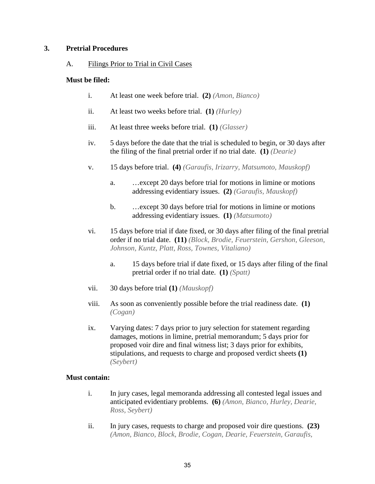## **3. Pretrial Procedures**

## A. Filings Prior to Trial in Civil Cases

## **Must be filed:**

- i. At least one week before trial. **(2)** *(Amon, Bianco)*
- ii. At least two weeks before trial. **(1)** *(Hurley)*
- iii. At least three weeks before trial. **(1)** *(Glasser)*
- iv. 5 days before the date that the trial is scheduled to begin, or 30 days after the filing of the final pretrial order if no trial date. **(1)** *(Dearie)*
- <span id="page-37-0"></span>v. 15 days before trial. **(4)** *(Garaufis, Irizarry, Matsumoto, Mauskopf)*
	- a. …except 20 days before trial for motions in limine or motions addressing evidentiary issues. **(2)** *(Garaufis, Mauskopf)*
	- b. …except 30 days before trial for motions in limine or motions addressing evidentiary issues. **(1)** *(Matsumoto)*
- vi. 15 days before trial if date fixed, or 30 days after filing of the final pretrial order if no trial date. **(11)** *(Block, Brodie, Feuerstein, Gershon, Gleeson, Johnson, Kuntz, Platt, Ross, Townes, Vitaliano)*
	- a. 15 days before trial if date fixed, or 15 days after filing of the final pretrial order if no trial date. **(1)** *(Spatt)*
- vii. 30 days before trial **(1)** *(Mauskopf)*
- viii. As soon as conveniently possible before the trial readiness date. **(1)**  *(Cogan)*
- ix. Varying dates: 7 days prior to jury selection for statement regarding damages, motions in limine, pretrial memorandum; 5 days prior for proposed voir dire and final witness list; 3 days prior for exhibits, stipulations, and requests to charge and proposed verdict sheets **(1)**  *(Seybert)*

## **Must contain:**

- i. In jury cases, legal memoranda addressing all contested legal issues and anticipated evidentiary problems. **(6)** *(Amon, Bianco, Hurley, Dearie, Ross, Seybert)*
- ii. In jury cases, requests to charge and proposed voir dire questions. **(23)**  *(Amon, Bianco, Block, Brodie, Cogan, Dearie, Feuerstein, Garaufis,*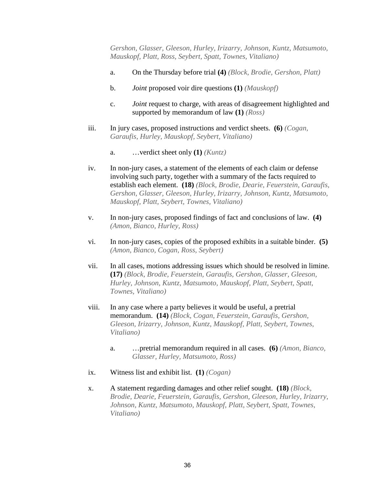<span id="page-38-0"></span>*Gershon, Glasser, Gleeson, Hurley, Irizarry, Johnson, Kuntz, Matsumoto, Mauskopf, Platt, Ross, Seybert, Spatt, Townes, Vitaliano)*

- <span id="page-38-1"></span>a. On the Thursday before trial **(4)** *(Block, Brodie, Gershon, Platt)*
- b. *Joint* proposed voir dire questions **(1)** *(Mauskopf)*
- c. *Joint* request to charge, with areas of disagreement highlighted and supported by memorandum of law **(1)** *(Ross)*
- iii. In jury cases, proposed instructions and verdict sheets. **(6)** *(Cogan, Garaufis, Hurley, Mauskopf, Seybert, Vitaliano)*
	- a. …verdict sheet only **(1)** *(Kuntz)*
- iv. In non-jury cases, a statement of the elements of each claim or defense involving such party, together with a summary of the facts required to establish each element. **(18)** *(Block, Brodie, Dearie, Feuerstein, Garaufis, Gershon, Glasser, Gleeson, Hurley, Irizarry, Johnson, Kuntz, Matsumoto, Mauskopf, Platt, Seybert, Townes, Vitaliano)*
- v. In non-jury cases, proposed findings of fact and conclusions of law. **(4)**  *(Amon, Bianco, Hurley, Ross)*
- vi. In non-jury cases, copies of the proposed exhibits in a suitable binder. **(5)**  *(Amon, Bianco, Cogan, Ross, Seybert)*
- vii. In all cases, motions addressing issues which should be resolved in limine. **(17)** *(Block, Brodie, Feuerstein, Garaufis, Gershon, Glasser, Gleeson, Hurley, Johnson, Kuntz, Matsumoto, Mauskopf, Platt, Seybert, Spatt, Townes, Vitaliano)*
- viii. In any case where a party believes it would be useful, a pretrial memorandum. **(14)** *(Block, Cogan, Feuerstein, Garaufis, Gershon, Gleeson, Irizarry, Johnson, Kuntz, Mauskopf, Platt, Seybert, Townes, Vitaliano)*
	- a. …pretrial memorandum required in all cases. **(6)** *(Amon, Bianco, Glasser, Hurley, Matsumoto, Ross)*
- ix. Witness list and exhibit list. **(1)** *(Cogan)*
- x. A statement regarding damages and other relief sought. **(18)** *(Block, Brodie, Dearie, Feuerstein, Garaufis, Gershon, Gleeson, Hurley, Irizarry, Johnson, Kuntz, Matsumoto, Mauskopf, Platt, Seybert, Spatt, Townes, Vitaliano)*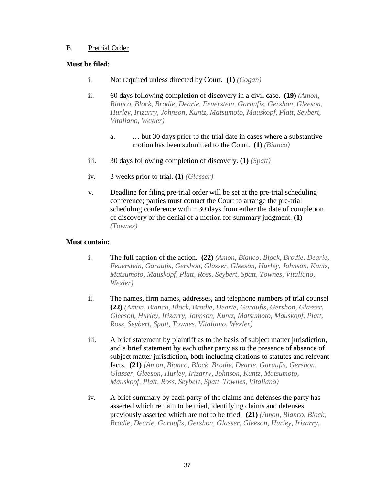## B. Pretrial Order

## **Must be filed:**

- i. Not required unless directed by Court. **(1)** *(Cogan)*
- ii. 60 days following completion of discovery in a civil case. **(19)** *(Amon, Bianco, Block, Brodie, Dearie, Feuerstein, Garaufis, Gershon, Gleeson, Hurley, Irizarry, Johnson, Kuntz, Matsumoto, Mauskopf, Platt, Seybert, Vitaliano, Wexler)*
	- a. … but 30 days prior to the trial date in cases where a substantive motion has been submitted to the Court. **(1)** *(Bianco)*
- iii. 30 days following completion of discovery. **(1)** *(Spatt)*
- iv. 3 weeks prior to trial. **(1)** *(Glasser)*
- v. Deadline for filing pre-trial order will be set at the pre-trial scheduling conference; parties must contact the Court to arrange the pre-trial scheduling conference within 30 days from either the date of completion of discovery or the denial of a motion for summary judgment. **(1)**  *(Townes)*

## **Must contain:**

- i. The full caption of the action. **(22)** *(Amon, Bianco, Block, Brodie, Dearie, Feuerstein, Garaufis, Gershon, Glasser, Gleeson, Hurley, Johnson, Kuntz, Matsumoto, Mauskopf, Platt, Ross, Seybert, Spatt, Townes, Vitaliano, Wexler)*
- ii. The names, firm names, addresses, and telephone numbers of trial counsel **(22)** *(Amon, Bianco, Block, Brodie, Dearie, Garaufis, Gershon, Glasser, Gleeson, Hurley, Irizarry, Johnson, Kuntz, Matsumoto, Mauskopf, Platt, Ross, Seybert, Spatt, Townes, Vitaliano, Wexler)*
- iii. A brief statement by plaintiff as to the basis of subject matter jurisdiction, and a brief statement by each other party as to the presence of absence of subject matter jurisdiction, both including citations to statutes and relevant facts. **(21)** *(Amon, Bianco, Block, Brodie, Dearie, Garaufis, Gershon, Glasser, Gleeson, Hurley, Irizarry, Johnson, Kuntz, Matsumoto, Mauskopf, Platt, Ross, Seybert, Spatt, Townes, Vitaliano)*
- iv. A brief summary by each party of the claims and defenses the party has asserted which remain to be tried, identifying claims and defenses previously asserted which are not to be tried. **(21)** *(Amon, Bianco, Block, Brodie, Dearie, Garaufis, Gershon, Glasser, Gleeson, Hurley, Irizarry,*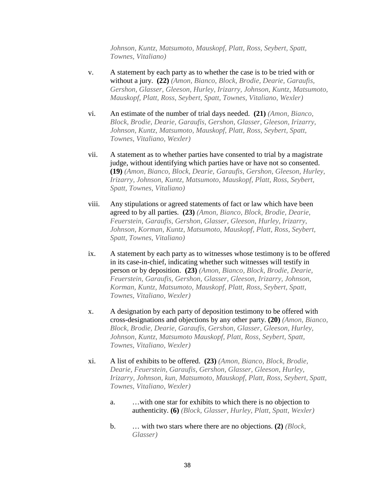*Johnson, Kuntz, Matsumoto, Mauskopf, Platt, Ross, Seybert, Spatt, Townes, Vitaliano)*

- <span id="page-40-0"></span>v. A statement by each party as to whether the case is to be tried with or without a jury. **(22)** *(Amon, Bianco, Block, Brodie, Dearie, Garaufis, Gershon, Glasser, Gleeson, Hurley, Irizarry, Johnson, Kuntz, Matsumoto, Mauskopf, Platt, Ross, Seybert, Spatt, Townes, Vitaliano, Wexler)*
- vi. An estimate of the number of trial days needed. **(21)** *(Amon, Bianco, Block, Brodie, Dearie, Garaufis, Gershon, Glasser, Gleeson, Irizarry, Johnson, Kuntz, Matsumoto, Mauskopf, Platt, Ross, Seybert, Spatt, Townes, Vitaliano, Wexler)*
- vii. A statement as to whether parties have consented to trial by a magistrate judge, without identifying which parties have or have not so consented. **(19)** *(Amon, Bianco, Block, Dearie, Garaufis, Gershon, Gleeson, Hurley, Irizarry, Johnson, Kuntz, Matsumoto, Mauskopf, Platt, Ross, Seybert, Spatt, Townes, Vitaliano)*
- viii. Any stipulations or agreed statements of fact or law which have been agreed to by all parties. **(23)** *(Amon, Bianco, Block, Brodie, Dearie, Feuerstein, Garaufis, Gershon, Glasser, Gleeson, Hurley, Irizarry, Johnson, Korman, Kuntz, Matsumoto, Mauskopf, Platt, Ross, Seybert, Spatt, Townes, Vitaliano)*
- ix. A statement by each party as to witnesses whose testimony is to be offered in its case-in-chief, indicating whether such witnesses will testify in person or by deposition. **(23)** *(Amon, Bianco, Block, Brodie, Dearie, Feuerstein, Garaufis, Gershon, Glasser, Gleeson, Irizarry, Johnson, Korman, Kuntz, Matsumoto, Mauskopf, Platt, Ross, Seybert, Spatt, Townes, Vitaliano, Wexler)*
- x. A designation by each party of deposition testimony to be offered with cross-designations and objections by any other party. **(20)** *(Amon, Bianco, Block, Brodie, Dearie, Garaufis, Gershon, Glasser, Gleeson, Hurley, Johnson, Kuntz, Matsumoto Mauskopf, Platt, Ross, Seybert, Spatt, Townes, Vitaliano, Wexler)*
- xi. A list of exhibits to be offered. **(23)** *(Amon, Bianco, Block, Brodie, Dearie, Feuerstein, Garaufis, Gershon, Glasser, Gleeson, Hurley, Irizarry, Johnson, kun, Matsumoto, Mauskopf, Platt, Ross, Seybert, Spatt, Townes, Vitaliano, Wexler)*
	- a. …with one star for exhibits to which there is no objection to authenticity. **(6)** *(Block, Glasser, Hurley, Platt, Spatt, Wexler)*
	- b. … with two stars where there are no objections. **(2)** *(Block, Glasser)*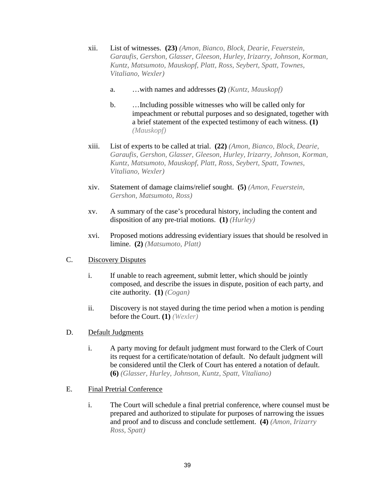- xii. List of witnesses. **(23)** *(Amon, Bianco, Block, Dearie, Feuerstein, Garaufis, Gershon, Glasser, Gleeson, Hurley, Irizarry, Johnson, Korman, Kuntz, Matsumoto, Mauskopf, Platt, Ross, Seybert, Spatt, Townes, Vitaliano, Wexler)*
	- a. …with names and addresses **(2)** *(Kuntz, Mauskopf)*
	- b. …Including possible witnesses who will be called only for impeachment or rebuttal purposes and so designated, together with a brief statement of the expected testimony of each witness. **(1)**  *(Mauskopf)*
- xiii. List of experts to be called at trial. **(22)** *(Amon, Bianco, Block, Dearie, Garaufis, Gershon, Glasser, Gleeson, Hurley, Irizarry, Johnson, Korman, Kuntz, Matsumoto, Mauskopf, Platt, Ross, Seybert, Spatt, Townes, Vitaliano, Wexler)*
- xiv. Statement of damage claims/relief sought. **(5)** *(Amon, Feuerstein, Gershon, Matsumoto, Ross)*
- xv. A summary of the case's procedural history, including the content and disposition of any pre-trial motions. **(1)** *(Hurley)*
- xvi. Proposed motions addressing evidentiary issues that should be resolved in limine. **(2)** *(Matsumoto, Platt)*

## C. Discovery Disputes

- i. If unable to reach agreement, submit letter, which should be jointly composed, and describe the issues in dispute, position of each party, and cite authority. **(1)** *(Cogan)*
- ii. Discovery is not stayed during the time period when a motion is pending before the Court. **(1)** *(Wexler)*
- D. Default Judgments
	- i. A party moving for default judgment must forward to the Clerk of Court its request for a certificate/notation of default. No default judgment will be considered until the Clerk of Court has entered a notation of default. **(6)** *(Glasser, Hurley, Johnson, Kuntz, Spatt, Vitaliano)*

## E. Final Pretrial Conference

i. The Court will schedule a final pretrial conference, where counsel must be prepared and authorized to stipulate for purposes of narrowing the issues and proof and to discuss and conclude settlement. **(4)** *(Amon, Irizarry Ross, Spatt)*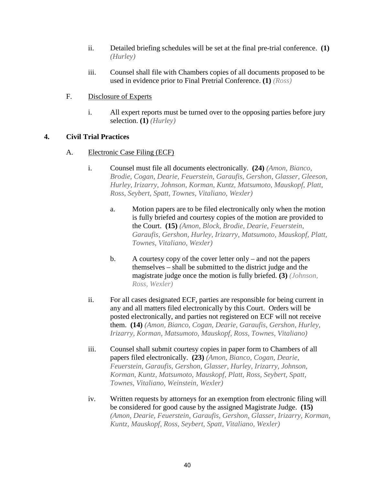- ii. Detailed briefing schedules will be set at the final pre-trial conference. **(1)**  *(Hurley)*
- iii. Counsel shall file with Chambers copies of all documents proposed to be used in evidence prior to Final Pretrial Conference. **(1)** *(Ross)*
- F. Disclosure of Experts
	- i. All expert reports must be turned over to the opposing parties before jury selection. **(1)** *(Hurley)*

## **4. Civil Trial Practices**

- <span id="page-42-2"></span><span id="page-42-1"></span><span id="page-42-0"></span>A. Electronic Case Filing (ECF)
	- i. Counsel must file all documents electronically. **(24)** *(Amon, Bianco, Brodie, Cogan, Dearie, Feuerstein, Garaufis, Gershon, Glasser, Gleeson, Hurley, Irizarry, Johnson, Korman, Kuntz, Matsumoto, Mauskopf, Platt, Ross, Seybert, Spatt, Townes, Vitaliano, Wexler)*
		- a. Motion papers are to be filed electronically only when the motion is fully briefed and courtesy copies of the motion are provided to the Court. **(15)** *(Amon, Block, Brodie, Dearie, Feuerstein, Garaufis, Gershon, Hurley, Irizarry, Matsumoto, Mauskopf, Platt, Townes, Vitaliano, Wexler)*
		- b. A courtesy copy of the cover letter only and not the papers themselves – shall be submitted to the district judge and the magistrate judge once the motion is fully briefed. **(3)** *(Johnson, Ross, Wexler)*
	- ii. For all cases designated ECF, parties are responsible for being current in any and all matters filed electronically by this Court. Orders will be posted electronically, and parties not registered on ECF will not receive them. **(14)** *(Amon, Bianco, Cogan, Dearie, Garaufis, Gershon, Hurley, Irizarry, Korman, Matsumoto, Mauskopf, Ross, Townes, Vitaliano)*
	- iii. Counsel shall submit courtesy copies in paper form to Chambers of all papers filed electronically. **(23)** *(Amon, Bianco, Cogan, Dearie, Feuerstein, Garaufis, Gershon, Glasser, Hurley, Irizarry, Johnson, Korman, Kuntz, Matsumoto, Mauskopf, Platt, Ross, Seybert, Spatt, Townes, Vitaliano, Weinstein, Wexler)*
	- iv. Written requests by attorneys for an exemption from electronic filing will be considered for good cause by the assigned Magistrate Judge. **(15)**  *(Amon, Dearie, Feuerstein, Garaufis, Gershon, Glasser, Irizarry, Korman, Kuntz, Mauskopf, Ross, Seybert, Spatt, Vitaliano, Wexler)*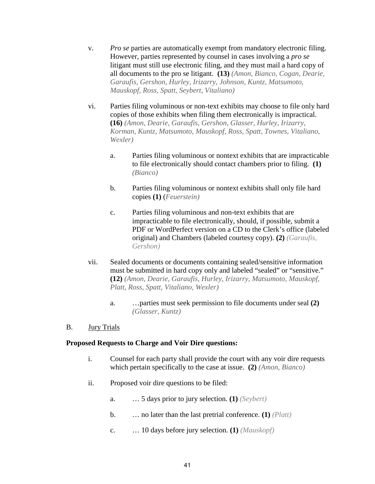- v. *Pro se* parties are automatically exempt from mandatory electronic filing. However, parties represented by counsel in cases involving a *pro se* litigant must still use electronic filing, and they must mail a hard copy of all documents to the pro se litigant. **(13)** *(Amon, Bianco, Cogan, Dearie, Garaufis, Gershon, Hurley, Irizarry, Johnson, Kuntz, Matsumoto, Mauskopf, Ross, Spatt, Seybert, Vitaliano)*
- <span id="page-43-2"></span><span id="page-43-1"></span><span id="page-43-0"></span>vi. Parties filing voluminous or non-text exhibits may choose to file only hard copies of those exhibits when filing them electronically is impractical. **(16)** *(Amon, Dearie, Garaufis, Gershon, Glasser, Hurley, Irizarry, Korman, Kuntz, Matsumoto, Mauskopf, Ross, Spatt, Townes, Vitaliano, Wexler)*
	- a. Parties filing voluminous or nontext exhibits that are impracticable to file electronically should contact chambers prior to filing. **(1)**  *(Bianco)*
	- b. Parties filing voluminous or nontext exhibits shall only file hard copies **(1)** (*Feuerstein)*
	- c. Parties filing voluminous and non-text exhibits that are impracticable to file electronically, should, if possible, submit a PDF or WordPerfect version on a CD to the Clerk's office (labeled original) and Chambers (labeled courtesy copy). **(2)** *(Garaufis, Gershon)*
- vii. Sealed documents or documents containing sealed/sensitive information must be submitted in hard copy only and labeled "sealed" or "sensitive." **(12)** *(Amon, Dearie, Garaufis, Hurley, Irizarry, Matsumoto, Mauskopf, Platt, Ross, Spatt, Vitaliano, Wexler)*
	- a. …parties must seek permission to file documents under seal **(2)**  *(Glasser, Kuntz)*
- B. Jury Trials

## **Proposed Requests to Charge and Voir Dire questions:**

- i. Counsel for each party shall provide the court with any voir dire requests which pertain specifically to the case at issue. **(2)** *(Amon, Bianco)*
- ii. Proposed voir dire questions to be filed:
	- a. … 5 days prior to jury selection. **(1)** *(Seybert)*
	- b. … no later than the last pretrial conference. **(1)** *(Platt)*
	- c. … 10 days before jury selection. **(1)** *(Mauskopf)*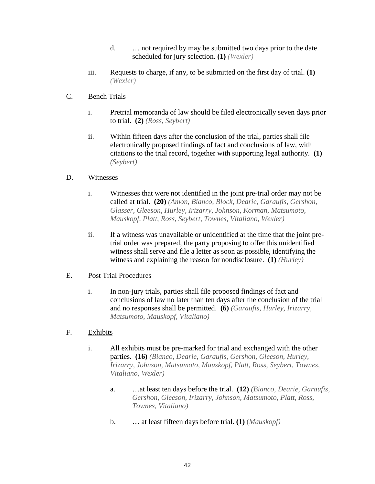- d. … not required by may be submitted two days prior to the date scheduled for jury selection. **(1)** *(Wexler)*
- iii. Requests to charge, if any, to be submitted on the first day of trial. **(1)**  *(Wexler)*

## C. Bench Trials

- i. Pretrial memoranda of law should be filed electronically seven days prior to trial. **(2)** *(Ross, Seybert)*
- ii. Within fifteen days after the conclusion of the trial, parties shall file electronically proposed findings of fact and conclusions of law, with citations to the trial record, together with supporting legal authority. **(1)**  *(Seybert)*

## D. Witnesses

- i. Witnesses that were not identified in the joint pre-trial order may not be called at trial. **(20)** *(Amon, Bianco, Block, Dearie, Garaufis, Gershon, Glasser, Gleeson, Hurley, Irizarry, Johnson, Korman, Matsumoto, Mauskopf, Platt, Ross, Seybert, Townes, Vitaliano, Wexler)*
- ii. If a witness was unavailable or unidentified at the time that the joint pretrial order was prepared, the party proposing to offer this unidentified witness shall serve and file a letter as soon as possible, identifying the witness and explaining the reason for nondisclosure. **(1)** *(Hurley)*

## E. Post Trial Procedures

i. In non-jury trials, parties shall file proposed findings of fact and conclusions of law no later than ten days after the conclusion of the trial and no responses shall be permitted. **(6)** *(Garaufis, Hurley, Irizarry, Matsumoto, Mauskopf, Vitaliano)*

## <span id="page-44-0"></span>F. Exhibits

- i. All exhibits must be pre-marked for trial and exchanged with the other parties. **(16)** *(Bianco, Dearie, Garaufis, Gershon, Gleeson, Hurley, Irizarry, Johnson, Matsumoto, Mauskopf, Platt, Ross, Seybert, Townes, Vitaliano, Wexler)*
	- a. …at least ten days before the trial. **(12)** *(Bianco, Dearie, Garaufis, Gershon, Gleeson, Irizarry, Johnson, Matsumoto, Platt, Ross, Townes, Vitaliano)*
	- b. … at least fifteen days before trial. **(1)** (*Mauskopf)*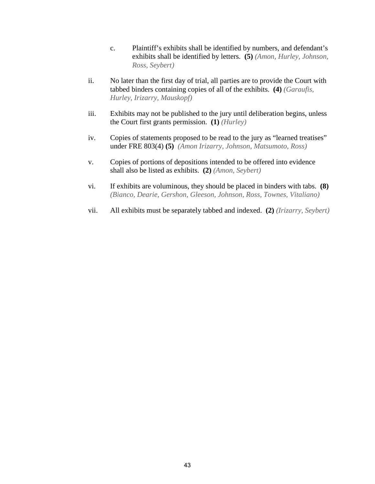- c. Plaintiff's exhibits shall be identified by numbers, and defendant's exhibits shall be identified by letters. **(5)** *(Amon, Hurley, Johnson, Ross, Seybert)*
- <span id="page-45-0"></span>ii. No later than the first day of trial, all parties are to provide the Court with tabbed binders containing copies of all of the exhibits. **(4)** *(Garaufis, Hurley, Irizarry, Mauskopf)*
- iii. Exhibits may not be published to the jury until deliberation begins, unless the Court first grants permission. **(1)** *(Hurley)*
- iv. Copies of statements proposed to be read to the jury as "learned treatises" under FRE 803(4) **(5)** *(Amon Irizarry, Johnson, Matsumoto, Ross)*
- v. Copies of portions of depositions intended to be offered into evidence shall also be listed as exhibits. **(2)** *(Amon, Seybert)*
- <span id="page-45-1"></span>vi. If exhibits are voluminous, they should be placed in binders with tabs. **(8)**  *(Bianco, Dearie, Gershon, Gleeson, Johnson, Ross, Townes, Vitaliano)*
- <span id="page-45-3"></span><span id="page-45-2"></span>vii. All exhibits must be separately tabbed and indexed. **(2)** *(Irizarry, Seybert)*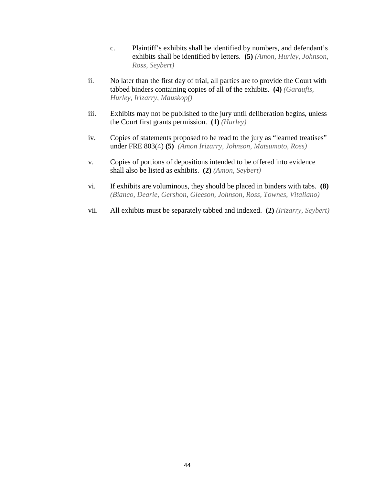- c. Plaintiff's exhibits shall be identified by numbers, and defendant's exhibits shall be identified by letters. **(5)** *(Amon, Hurley, Johnson, Ross, Seybert)*
- ii. No later than the first day of trial, all parties are to provide the Court with tabbed binders containing copies of all of the exhibits. **(4)** *(Garaufis, Hurley, Irizarry, Mauskopf)*
- iii. Exhibits may not be published to the jury until deliberation begins, unless the Court first grants permission. **(1)** *(Hurley)*
- iv. Copies of statements proposed to be read to the jury as "learned treatises" under FRE 803(4) **(5)** *(Amon Irizarry, Johnson, Matsumoto, Ross)*
- v. Copies of portions of depositions intended to be offered into evidence shall also be listed as exhibits. **(2)** *(Amon, Seybert)*
- vi. If exhibits are voluminous, they should be placed in binders with tabs. **(8)**  *(Bianco, Dearie, Gershon, Gleeson, Johnson, Ross, Townes, Vitaliano)*
- vii. All exhibits must be separately tabbed and indexed. **(2)** *(Irizarry, Seybert)*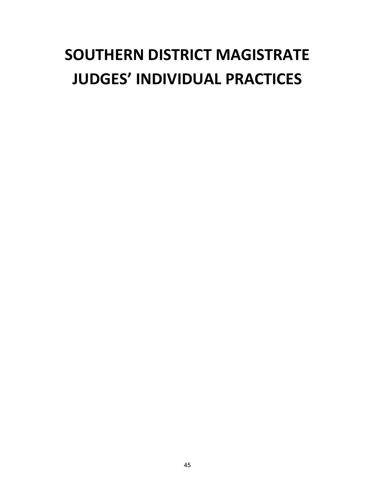# **SOUTHERN DISTRICT MAGISTRATE JUDGES' INDIVIDUAL PRACTICES**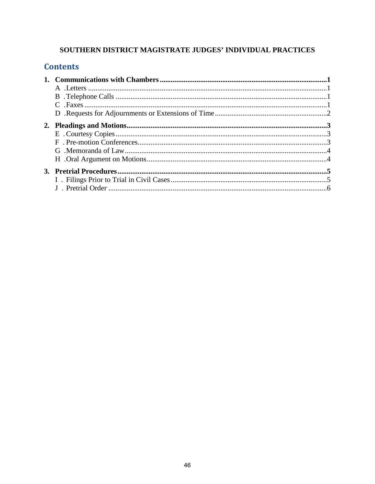## SOUTHERN DISTRICT MAGISTRATE JUDGES' INDIVIDUAL PRACTICES

## **Contents**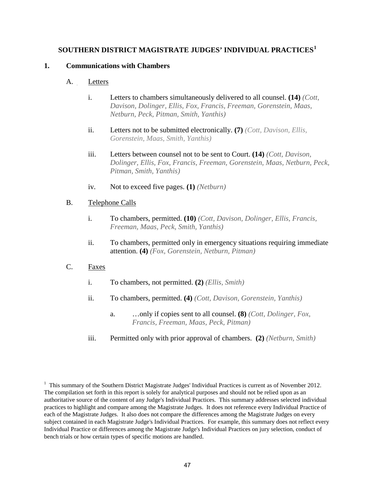## **SOUTHERN DISTRICT MAGISTRATE JUDGES' INDIVIDUAL PRACTICES<sup>1</sup>**

## **1. Communications with Chambers**

## A. Letters

- i. Letters to chambers simultaneously delivered to all counsel. **(14)** *(Cott, Davison, Dolinger, Ellis, Fox, Francis, Freeman, Gorenstein, Maas, Netburn, Peck, Pitman, Smith, Yanthis)*
- ii. Letters not to be submitted electronically. **(7)** *(Cott, Davison, Ellis, Gorenstein, Maas, Smith, Yanthis)*
- iii. Letters between counsel not to be sent to Court. **(14)** *(Cott, Davison, Dolinger, Ellis, Fox, Francis, Freeman, Gorenstein, Maas, Netburn, Peck, Pitman, Smith, Yanthis)*
- iv. Not to exceed five pages. **(1)** *(Netburn)*

## B. Telephone Calls

- i. To chambers, permitted. **(10)** *(Cott, Davison, Dolinger, Ellis, Francis, Freeman, Maas, Peck, Smith, Yanthis)*
- ii. To chambers, permitted only in emergency situations requiring immediate attention. **(4)** *(Fox, Gorenstein, Netburn, Pitman)*
- C. Faxes
	- i. To chambers, not permitted. **(2)** *(Ellis, Smith)*
	- ii. To chambers, permitted. **(4)** *(Cott, Davison, Gorenstein, Yanthis)* 
		- a. …only if copies sent to all counsel. **(8)** *(Cott, Dolinger, Fox, Francis, Freeman, Maas, Peck, Pitman)*
	- iii. Permitted only with prior approval of chambers. **(2)** *(Netburn, Smith)*

 $1$  This summary of the Southern District Magistrate Judges' Individual Practices is current as of November 2012. The compilation set forth in this report is solely for analytical purposes and should not be relied upon as an authoritative source of the content of any Judge's Individual Practices. This summary addresses selected individual practices to highlight and compare among the Magistrate Judges. It does not reference every Individual Practice of each of the Magistrate Judges. It also does not compare the differences among the Magistrate Judges on every subject contained in each Magistrate Judge's Individual Practices. For example, this summary does not reflect every Individual Practice or differences among the Magistrate Judge's Individual Practices on jury selection, conduct of bench trials or how certain types of specific motions are handled.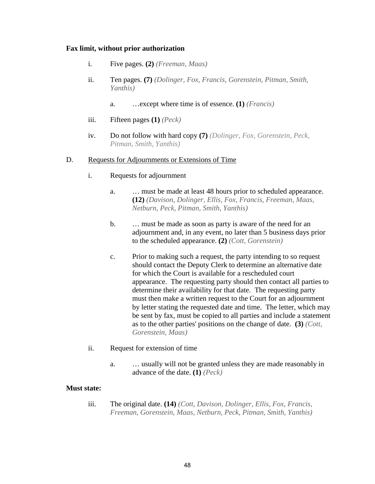#### **Fax limit, without prior authorization**

- i. Five pages. **(2)** *(Freeman, Maas)*
- ii. Ten pages. **(7)** *(Dolinger, Fox, Francis, Gorenstein, Pitman, Smith, Yanthis)*
	- a. …except where time is of essence. **(1)** *(Francis)*
- iii. Fifteen pages **(1)** *(Peck)*
- iv. Do not follow with hard copy **(7)** *(Dolinger, Fox, Gorenstein, Peck, Pitman, Smith, Yanthis)*

#### D. Requests for Adjournments or Extensions of Time

- i. Requests for adjournment
	- a. … must be made at least 48 hours prior to scheduled appearance. **(12)** *(Davison, Dolinger, Ellis, Fox, Francis, Freeman, Maas, Netburn, Peck, Pitman, Smith, Yanthis)*
	- b. … must be made as soon as party is aware of the need for an adjournment and, in any event, no later than 5 business days prior to the scheduled appearance. **(2)** *(Cott, Gorenstein)*
	- c. Prior to making such a request, the party intending to so request should contact the Deputy Clerk to determine an alternative date for which the Court is available for a rescheduled court appearance. The requesting party should then contact all parties to determine their availability for that date. The requesting party must then make a written request to the Court for an adjournment by letter stating the requested date and time. The letter, which may be sent by fax, must be copied to all parties and include a statement as to the other parties' positions on the change of date. **(3)** *(Cott, Gorenstein, Maas)*
- ii. Request for extension of time
	- a. … usually will not be granted unless they are made reasonably in advance of the date. **(1)** *(Peck)*

#### **Must state:**

iii. The original date. **(14)** *(Cott, Davison, Dolinger, Ellis, Fox, Francis, Freeman, Gorenstein, Maas, Netburn, Peck, Pitman, Smith, Yanthis)*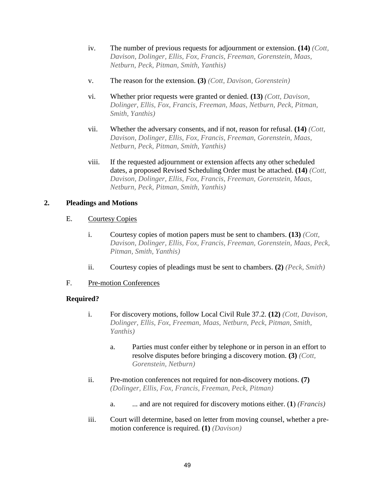- iv. The number of previous requests for adjournment or extension. **(14)** *[\(C](#page-51-4)ott, contri*ment) *Davison, Dolinger, Ellis, Fox, Francis, Freeman, Gorenstein, Maas, Netburn, Peck, Pitman, Smith, Yanthis)*
- <span id="page-51-1"></span><span id="page-51-0"></span>v. The reason for the extension. **(3)** *(Cott, Davison, Gorenstein)*
- vi. Whether prior requests were granted or denied. **(13)** *(Cott, Davison, Dolinger, Ellis, Fox, Francis, Freeman, Maas, Netburn, Peck, Pitman, Smith, Yanthis)*
- vii. Whether the adversary consents, and if not, reason for refusal. **(14)** *(Cott, Davison, Dolinger, Ellis, Fox, Francis, Freeman, Gorenstein, Maas, Netburn, Peck, Pitman, Smith, Yanthis)*
- viii. If the requested adjournment or extension affects any other scheduled dates, a proposed Revised Scheduling Order must be attached. **(14)** *(Cott, Davison, Dolinger, Ellis, Fox, Francis, Freeman, Gorenstein, Maas, Netburn, Peck, Pitman, Smith, Yanthis)*

## **2. Pleadings and Motions**

## <span id="page-51-2"></span>E. Courtesy Copies

- i. Courtesy copies of motion papers must be sent to chambers. **(13)** *(Cott, Davison, Dolinger, Ellis, Fox, Francis, Freeman, Gorenstein, Maas, Peck, Pitman, Smith, Yanthis)*
- <span id="page-51-3"></span>ii. Courtesy copies of pleadings must be sent to chambers. **(2)** *(Peck, Smith)*

## F. Pre-motion Conferences

## **Required?**

- i. For discovery motions, follow Local Civil Rule 37.2. **(12)** *(Cott, Davison, Dolinger, Ellis, Fox, Freeman, Maas, Netburn, Peck, Pitman, Smith, Yanthis)*
	- a. Parties must confer either by telephone or in person in an effort to resolve disputes before bringing a discovery motion. **(3)** *(Cott, Gorenstein, Netburn)*
- <span id="page-51-4"></span>ii. Pre-motion conferences not required for non-discovery motions. **(7)**  *(Dolinger, Ellis, Fox, Francis, Freeman, Peck, Pitman)* 
	- a. ... and are not required for discovery motions either. (**1**) *(Francis)*
- iii. Court will determine, based on letter from moving counsel, whether a premotion conference is required. **(1)** *(Davison)*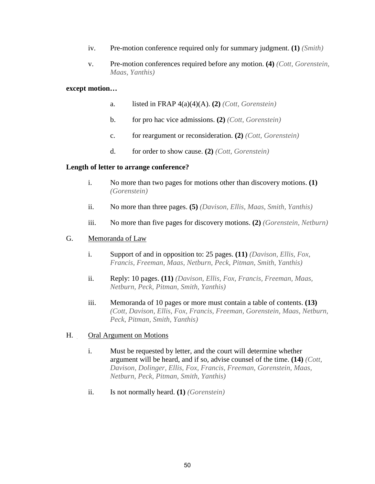- iv. Pre-motion conference required only for summary judgment. **(1)** *(Smith)*
- v. Pre-motion conferences required before any motion. **(4)** *(Cott, Gorenstein, Maas, Yanthis)*

#### **except motion…**

- a. listed in FRAP 4(a)(4)(A). **(2)** *(Cott, Gorenstein)*
- b. for pro hac vice admissions. **(2)** *(Cott, Gorenstein)*
- c. for reargument or reconsideration. **(2)** *(Cott, Gorenstein)*
- d. for order to show cause. **(2)** *(Cott, Gorenstein)*

#### <span id="page-52-0"></span>**Length of letter to arrange conference?**

- i. No more than two pages for motions other than discovery motions. **(1)**  *(Gorenstein)*
- ii. No more than three pages. **(5)** *(Davison, Ellis, Maas, Smith, Yanthis)*
- iii. No more than five pages for discovery motions. **(2)** *(Gorenstein, Netburn)*

#### G. Memoranda of Law

- i. Support of and in opposition to: 25 pages. **(11)** *(Davison, Ellis, Fox, Francis, Freeman, Maas, Netburn, Peck, Pitman, Smith, Yanthis)*
- ii. Reply: 10 pages. **(11)** *(Davison, Ellis, Fox, Francis, Freeman, Maas, Netburn, Peck, Pitman, Smith, Yanthis)*
- iii. Memoranda of 10 pages or more must contain a table of contents. **(13)**  *(Cott, Davison, Ellis, Fox, Francis, Freeman, Gorenstein, Maas, Netburn, Peck, Pitman, Smith, Yanthis)*

#### H. Oral Argument on Motions

- i. Must be requested by letter, and the court will determine whether argument will be heard, and if so, advise counsel of the time. **(14)** *(Cott, Davison, Dolinger, Ellis, Fox, Francis, Freeman, Gorenstein, Maas, Netburn, Peck, Pitman, Smith, Yanthis)*
- ii. Is not normally heard. **(1)** *(Gorenstein)*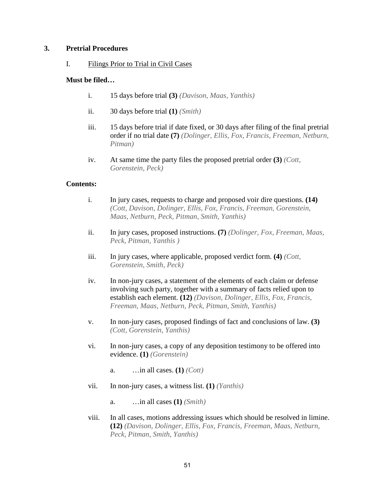## **3. Pretrial Procedures**

I. Filings Prior to Trial in Civil Cases

## **Must be filed…**

- i. 15 days before trial **(3)** *(Davison, Maas, Yanthis)*
- ii. 30 days before trial **(1)** *(Smith)*
- iii. 15 days before trial if date fixed, or 30 days after filing of the final pretrial order if no trial date **(7)** *(Dolinger, Ellis, Fox, Francis, Freeman, Netburn, Pitman)*
- iv. At same time the party files the proposed pretrial order **(3)** *(Cott, Gorenstein, Peck)*

## <span id="page-53-0"></span>**Contents:**

- i. In jury cases, requests to charge and proposed voir dire questions. **(14)**  *(Cott, Davison, Dolinger, Ellis, Fox, Francis, Freeman, Gorenstein, Maas, Netburn, Peck, Pitman, Smith, Yanthis)*
- <span id="page-53-1"></span>ii. In jury cases, proposed instructions. **(7)** *(Dolinger, Fox, Freeman, Maas, Peck, Pitman, Yanthis )*
- iii. In jury cases, where applicable, proposed verdict form. **(4)** *(Cott, Gorenstein, Smith, Peck)*
- <span id="page-53-2"></span>iv. In non-jury cases, a statement of the elements of each claim or defense involving such party, together with a summary of facts relied upon to establish each element. **(12)** *(Davison, Dolinger, Ellis, Fox, Francis, Freeman, Maas, Netburn, Peck, Pitman, Smith, Yanthis)*
- v. In non-jury cases, proposed findings of fact and conclusions of law. **(3)**  *(Cott, Gorenstein, Yanthis)*
- vi. In non-jury cases, a copy of any deposition testimony to be offered into evidence. **(1)** *(Gorenstein)* 
	- a. …in all cases. **(1)** *(Cott)*
- vii. In non-jury cases, a witness list. **(1)** *(Yanthis)* 
	- a. …in all cases **(1)** *(Smith)*
- viii. In all cases, motions addressing issues which should be resolved in limine. **(12)** *(Davison, Dolinger, Ellis, Fox, Francis, Freeman, Maas, Netburn, Peck, Pitman, Smith, Yanthis)*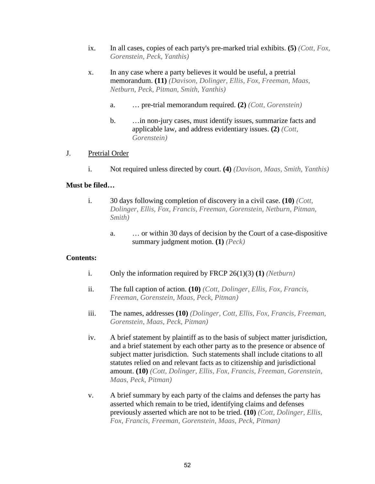- ix. In all cases, copies of each party's pre-marked trial exhibits. **(5)** *(Cott, Fox, Gorenstein, Peck, Yanthis)*
- x. In any case where a party believes it would be useful, a pretrial memorandum. **(11)** *(Davison, Dolinger, Ellis, Fox, Freeman, Maas, Netburn, Peck, Pitman, Smith, Yanthis)* 
	- a. … pre-trial memorandum required. **(2)** *(Cott, Gorenstein)*
	- b. …in non-jury cases, must identify issues, summarize facts and applicable law, and address evidentiary issues. **(2)** *(Cott, Gorenstein)*

## J. Pretrial Order

i. Not required unless directed by court. **(4)** *(Davison, Maas, Smith, Yanthis)* 

#### **Must be filed…**

- i. 30 days following completion of discovery in a civil case. **(10)** *(Cott, Dolinger, Ellis, Fox, Francis, Freeman, Gorenstein, Netburn, Pitman, Smith)* 
	- a. … or within 30 days of decision by the Court of a case-dispositive summary judgment motion. **(1)** *(Peck)*

#### <span id="page-54-0"></span>**Contents:**

- i. Only the information required by FRCP 26(1)(3) **(1)** *(Netburn)*
- ii. The full caption of action. **(10)** *(Cott, Dolinger, Ellis, Fox, Francis, Freeman, Gorenstein, Maas, Peck, Pitman)*
- iii. The names, addresses **(10)** *(Dolinger, Cott, Ellis, Fox, Francis, Freeman, Gorenstein, Maas, Peck, Pitman)*
- <span id="page-54-1"></span>iv. A brief statement by plaintiff as to the basis of subject matter jurisdiction, and a brief statement by each other party as to the presence or absence of subject matter jurisdiction. Such statements shall include citations to all statutes relied on and relevant facts as to citizenship and jurisdictional amount. **(10)** *(Cott, Dolinger, Ellis, Fox, Francis, Freeman, Gorenstein, Maas, Peck, Pitman)*
- v. A brief summary by each party of the claims and defenses the party has asserted which remain to be tried, identifying claims and defenses previously asserted which are not to be tried. **(10)** *(Cott, Dolinger, Ellis, Fox, Francis, Freeman, Gorenstein, Maas, Peck, Pitman)*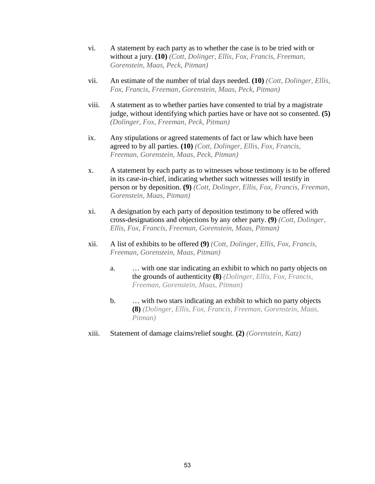- <span id="page-55-1"></span><span id="page-55-0"></span>vi. A statement by each party as to whether the case is to be tried with or without a jury. **(10)** *(Cott, Dolinger, Ellis, Fox, Francis, Freeman, Gorenstein, Maas, Peck, Pitman)*
- vii. An estimate of the number of trial days needed. **(10)** *(Cott, Dolinger, Ellis, Fox, Francis, Freeman, Gorenstein, Maas, Peck, Pitman)*
- viii. A statement as to whether parties have consented to trial by a magistrate judge, without identifying which parties have or have not so consented. **(5)**  *(Dolinger, Fox, Freeman, Peck, Pitman)*
- ix. Any stipulations or agreed statements of fact or law which have been agreed to by all parties. **(10)** *(Cott, Dolinger, Ellis, Fox, Francis, Freeman, Gorenstein, Maas, Peck, Pitman)*
- x. A statement by each party as to witnesses whose testimony is to be offered in its case-in-chief, indicating whether such witnesses will testify in person or by deposition. **(9)** *(Cott, Dolinger, Ellis, Fox, Francis, Freeman, Gorenstein, Maas, Pitman)*
- xi. A designation by each party of deposition testimony to be offered with cross-designations and objections by any other party. **(9)** *(Cott, Dolinger, Ellis, Fox, Francis, Freeman, Gorenstein, Maas, Pitman)*
- xii. A list of exhibits to be offered **(9)** *(Cott, Dolinger, Ellis, Fox, Francis, Freeman, Gorenstein, Maas, Pitman)* 
	- a. … with one star indicating an exhibit to which no party objects on the grounds of authenticity **(8)** *(Dolinger, Ellis, Fox, Francis, Freeman, Gorenstein, Maas, Pitman)*
	- b. … with two stars indicating an exhibit to which no party objects **(8)** *(Dolinger, Ellis, Fox, Francis, Freeman, Gorenstein, Maas, Pitman)*
- xiii. Statement of damage claims/relief sought. **(2)** *(Gorenstein, Katz)*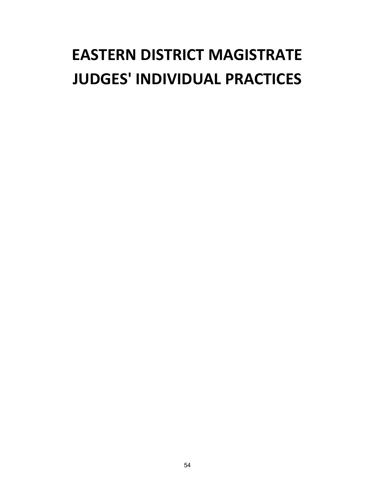# **EASTERN DISTRICT MAGISTRATE JUDGES' INDIVIDUAL PRACTICES**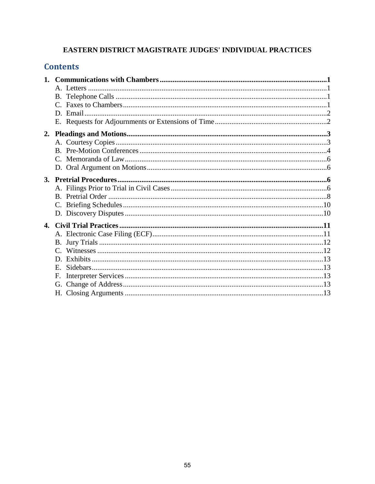## EASTERN DISTRICT MAGISTRATE JUDGES' INDIVIDUAL PRACTICES

## **Contents**

| $E_{\perp}$ |
|-------------|
| F.          |
|             |
|             |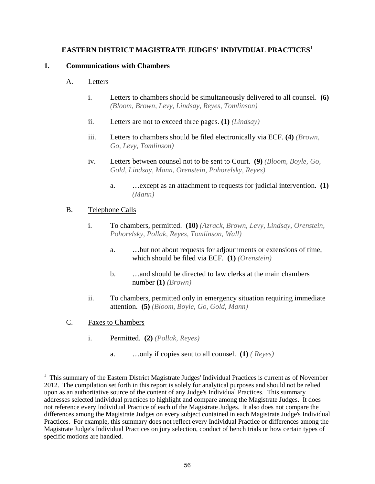## **EASTERN DISTRICT MAGISTRATE JUDGES' INDIVIDUAL PRACTICES<sup>1</sup>**

## **1. Communications with Chambers**

## A. Letters

- i. Letters to chambers should be simultaneously delivered to all counsel. **(6)**  *(Bloom, Brown, Levy, Lindsay, Reyes, Tomlinson)*
- ii. Letters are not to exceed three pages. **(1)** *(Lindsay)*
- iii. Letters to chambers should be filed electronically via ECF. **(4)** *(Brown, Go, Levy, Tomlinson)*
- iv. Letters between counsel not to be sent to Court. **(9)** *(Bloom, Boyle, Go, Gold, Lindsay, Mann, Orenstein, Pohorelsky, Reyes)* 
	- a. …except as an attachment to requests for judicial intervention. **(1)**  *(Mann)*

## B. Telephone Calls

- i. To chambers, permitted. **(10)** *(Azrack, Brown, Levy, Lindsay, Orenstein, Pohorelsky, Pollak, Reyes, Tomlinson, Wall)* 
	- a. …but not about requests for adjournments or extensions of time, which should be filed via ECF. **(1)** *(Orenstein)*
	- b. …and should be directed to law clerks at the main chambers number **(1)** *(Brown)*
- ii. To chambers, permitted only in emergency situation requiring immediate attention. **(5)** *(Bloom, Boyle, Go, Gold, Mann)*
- C. Faxes to Chambers
	- i. Permitted. **(2)** *(Pollak, Reyes)* 
		- a. …only if copies sent to all counsel. **(1)** *( Reyes)*

<sup>1</sup> This summary of the Eastern District Magistrate Judges' Individual Practices is current as of November 2012. The compilation set forth in this report is solely for analytical purposes and should not be relied upon as an authoritative source of the content of any Judge's Individual Practices. This summary addresses selected individual practices to highlight and compare among the Magistrate Judges. It does not reference every Individual Practice of each of the Magistrate Judges. It also does not compare the differences among the Magistrate Judges on every subject contained in each Magistrate Judge's Individual Practices. For example, this summary does not reflect every Individual Practice or differences among the Magistrate Judge's Individual Practices on jury selection, conduct of bench trials or how certain types of specific motions are handled.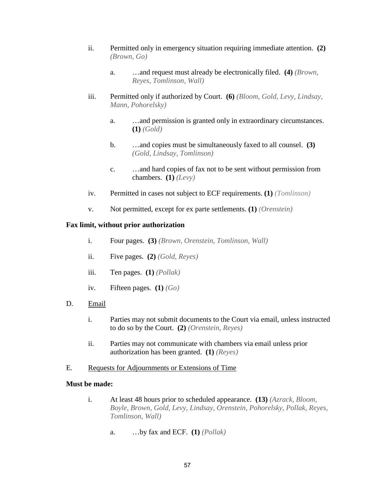- <span id="page-59-0"></span>ii. Permitted only in emergency situation requiring immediate attentio[n.](#page-59-4) **(2)**  *(Brown, Go)*
	- a. …and request must already be electronically filed. **(4)** *(Brown, Reyes, Tomlinson, Wall)*
- <span id="page-59-1"></span>iii. Permitted only if authorized by Court. **(6)** *(Bloom, Gold, Levy, Lindsay, Mann, Pohorelsky)* 
	- a. …and permission is granted only in extraordinary circumstances. **(1)** *(Gold)*
	- b. …and copies must be simultaneously faxed to all counsel. **(3)**  *(Gold, Lindsay, Tomlinson)*
	- c. …and hard copies of fax not to be sent without permission from chambers. **(1)** *(Levy)*
- iv. Permitted in cases not subject to ECF requirements. **(1)** *(Tomlinson)*
- v. Not permitted, except for ex parte settlements. **(1)** *(Orenstein)*

## <span id="page-59-2"></span> **Fax limit, without prior authorization**

- i. Four pages. **(3)** *(Brown, Orenstein, Tomlinson, Wall)*
- ii. Five pages. **(2)** *(Gold, Reyes)*
- iii. Ten pages. **(1)** *(Pollak)*
- iv. Fifteen pages. **(1)** *(Go)*
- <span id="page-59-3"></span>D. Email
	- i. Parties may not submit documents to the Court via email, unless instructed to do so by the Court. **(2)** *(Orenstein, Reyes)*
	- ii. Parties may not communicate with chambers via email unless prior authorization has been granted. **(1)** *(Reyes)*
- <span id="page-59-4"></span>E. Requests for Adjournments or Extensions of Time

## **Must be made:**

- i. At least 48 hours prior to scheduled appearance. **(13)** *(Azrack, Bloom, Boyle, Brown, Gold, Levy, Lindsay, Orenstein, Pohorelsky, Pollak, Reyes, Tomlinson, Wall)* 
	- a. …by fax and ECF. **(1)** *(Pollak)*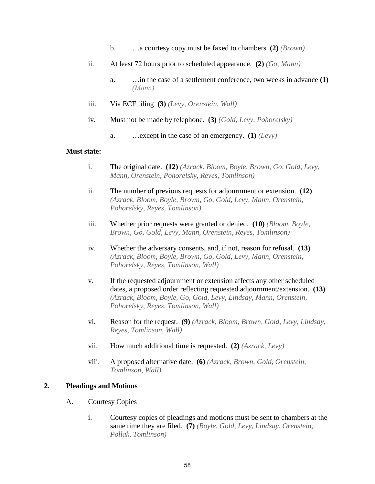- b. …a courtesy copy must be faxed to chambers. **(2)** *(Brown)*
- ii. At least 72 hours prior to scheduled appearance. **(2)** *(Go, Mann)* 
	- a. …in the case of a settlement conference, two weeks in advance **(1)**  *(Mann)*
- iii. Via ECF filing **(3)** *(Levy, Orenstein, Wall)*
- iv. Must not be made by telephone. **(3)** *(Gold, Levy, Pohorelsky)* 
	- a. …except in the case of an emergency. **(1)** *(Levy)*

#### **Must state:**

- i. The original date. **(12)** *(Azrack, Bloom, Boyle, Brown, Go, Gold, Levy, Mann, Orenstein, Pohorelsky, Reyes, Tomlinson)*
- ii. The number of previous requests for adjournment or extension. **(12)**  *(Azrack, Bloom, Boyle, Brown, Go, Gold, Levy, Mann, Orenstein, Pohorelsky, Reyes, Tomlinson)*
- iii. Whether prior requests were granted or denied. **(10)** *(Bloom, Boyle, Brown, Go, Gold, Levy, Mann, Orenstein, Reyes, Tomlinson)*
- iv. Whether the adversary consents, and, if not, reason for refusal. **(13)**  *(Azrack, Bloom, Boyle, Brown, Go, Gold, Levy, Mann, Orenstein, Pohorelsky, Reyes, Tomlinson, Wall)*
- v. If the requested adjournment or extension affects any other scheduled dates, a proposed order reflecting requested adjournment/extension. **(13)**  *(Azrack, Bloom, Boyle, Go, Gold, Levy, Lindsay, Mann, Orenstein, Pohorelsky, Reyes, Tomlinson, Wall)*
- <span id="page-60-0"></span>vi. Reason for the request. **(9)** *(Azrack, Bloom, Brown, Gold, Levy, Lindsay, Reyes, Tomlinson, Wall)*
- vii. How much additional time is requested. **(2)** *(Azrack, Levy)*
- viii. A proposed alternative date. **(6)** *(Azrack, Brown, Gold, Orenstein, Tomlinson, Wall)*

## <span id="page-60-1"></span>**2. Pleadings and Motions**

## A. Courtesy Copies

i. Courtesy copies of pleadings and motions must be sent to chambers at the same time they are filed. **(7)** *(Boyle, Gold, Levy, Lindsay, Orenstein, Pollak, Tomlinson)*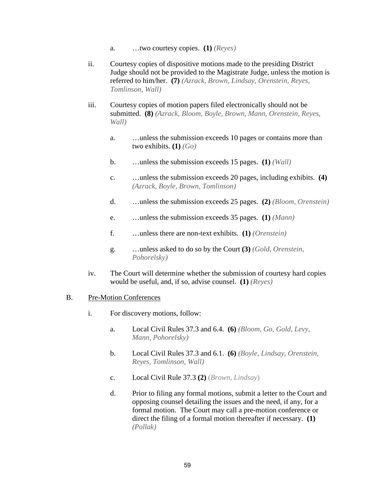- a. …two courtesy copies. **(1)** *(Reyes)*
- ii. Courtesy copies of dispositive motions made to the presiding District Judge should not be provided to the Magistrate Judge, unless the motion is referred to him/her. **(7)** *(Azrack, Brown, Lindsay, Orenstein, Reyes, Tomlinson, Wall)*
- iii. Courtesy copies of motion papers filed electronically should not be submitted. **(8)** *(Azrack, Bloom, Boyle, Brown, Mann, Orenstein, Reyes, Wall)* 
	- a. …unless the submission exceeds 10 pages or contains more than two exhibits. **(1)** *(Go)*
	- b. …unless the submission exceeds 15 pages. **(1)** *(Wall)*
	- c. …unless the submission exceeds 20 pages, including exhibits. **(4)**  *(Azrack, Boyle, Brown, Tomlinson)*
	- d. …unless the submission exceeds 25 pages. **(2)** *(Bloom, Orenstein)*
	- e. …unless the submission exceeds 35 pages. **(1)** *(Mann)*
	- f. …unless there are non-text exhibits. **(1)** *(Orenstein)*
	- g. …unless asked to do so by the Court **(3)** *(Gold, Orenstein, Pohorelsky)*
- iv. The Court will determine whether the submission of courtesy hard copies would be useful, and, if so, advise counsel. **(1)** *(Reyes)*

## B. Pre-Motion Conferences

- <span id="page-61-1"></span><span id="page-61-0"></span>i. For discovery motions, follow:
	- a. Local Civil Rules 37.3 and 6.4. **(6)** *(Bloom, Go, Gold, Levy, Mann, Pohorelsky)*
	- b. Local Civil Rules 37.3 and 6.1. **(6)** *(Boyle, Lindsay, Orenstein, Reyes, Tomlinson, Wall)*
	- c. Local Civil Rule 37.3 **(2)** (*Brown, Lindsay*)
	- d. Prior to filing any formal motions, submit a letter to the Court and opposing counsel detailing the issues and the need, if any, for a formal motion. The Court may call a pre-motion conference or direct the filing of a formal motion thereafter if necessary. **(1)**  *(Pollak)*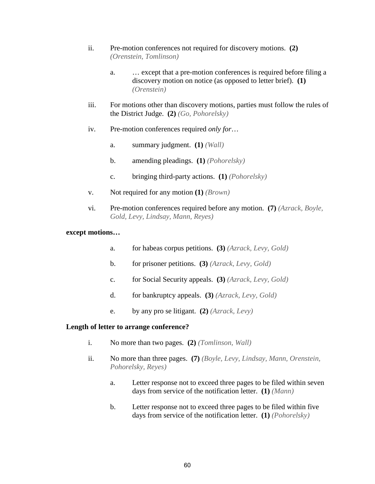- ii. Pre-motion conferences not required for discovery motions. **(2)**  *(Orenstein, Tomlinson)*
	- a. … except that a pre-motion conferences is required before filing a discovery motion on notice (as opposed to letter brief). **(1)**  *(Orenstein)*
- iii. For motions other than discovery motions, parties must follow the rules of the District Judge. **(2)** *(Go, Pohorelsky)*
- iv. Pre-motion conferences required *only for*…
	- a. summary judgment. **(1)** *(Wall)*
	- b. amending pleadings. **(1)** *(Pohorelsky)*
	- c. bringing third-party actions. **(1)** *(Pohorelsky)*
- v. Not required for any motion **(1)** *(Brown)*
- vi. Pre-motion conferences required before any motion. **(7)** *(Azrack, Boyle, Gold, Levy, Lindsay, Mann, Reyes)*

## **except motions…**

- a. for habeas corpus petitions. **(3)** *(Azrack, Levy, Gold)*
- b. for prisoner petitions. **(3)** *(Azrack, Levy, Gold)*
- c. for Social Security appeals. **(3)** *(Azrack, Levy, Gold)*
- d. for bankruptcy appeals. **(3)** *(Azrack, Levy, Gold)*
- e. by any pro se litigant. **(2)** *(Azrack, Levy)*

## <span id="page-62-0"></span>**Length of letter to arrange conference?**

- i. No more than two pages. **(2)** *(Tomlinson, Wall)*
- ii. No more than three pages. **(7)** *(Boyle, Levy, Lindsay, Mann, Orenstein, Pohorelsky, Reyes)* 
	- a. Letter response not to exceed three pages to be filed within seven days from service of the notification letter. **(1)** *(Mann)*
	- b. Letter response not to exceed three pages to be filed within five days from service of the notification letter. **(1)** *(Pohorelsky)*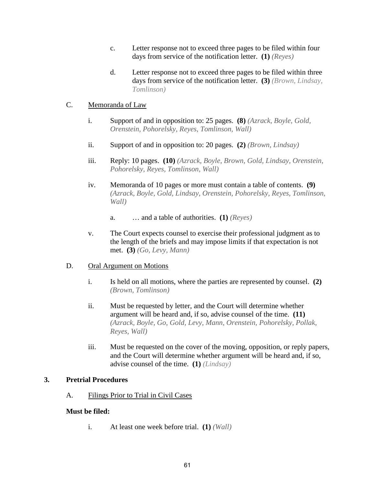- c. Letter response not to exceed three pages to be filed within four days from service of the notification letter. **(1)** *(Reyes)*
- d. Letter response not to exceed three pages to be filed within three days from service of the notification letter. **(3)** *(Brown, Lindsay, Tomlinson)*

## C. Memoranda of Law

- i. Support of and in opposition to: 25 pages. **(8)** *(Azrack, Boyle, Gold, Orenstein, Pohorelsky, Reyes, Tomlinson, Wall)*
- ii. Support of and in opposition to: 20 pages. **(2)** *(Brown, Lindsay)*
- iii. Reply: 10 pages. **(10)** *(Azrack, Boyle, Brown, Gold, Lindsay, Orenstein, Pohorelsky, Reyes, Tomlinson, Wall)*
- iv. Memoranda of 10 pages or more must contain a table of contents. **(9)**  *(Azrack, Boyle, Gold, Lindsay, Orenstein, Pohorelsky, Reyes, Tomlinson, Wall)* 
	- a. … and a table of authorities. **(1)** *(Reyes)*
- v. The Court expects counsel to exercise their professional judgment as to the length of the briefs and may impose limits if that expectation is not met. **(3)** *(Go, Levy, Mann)*

## D. Oral Argument on Motions

- i. Is held on all motions, where the parties are represented by counsel. **(2)**  *(Brown, Tomlinson)*
- ii. Must be requested by letter, and the Court will determine whether argument will be heard and, if so, advise counsel of the time. **(11)**  *(Azrack, Boyle, Go, Gold, Levy, Mann, Orenstein, Pohorelsky, Pollak, Reyes, Wall)*
- iii. Must be requested on the cover of the moving, opposition, or reply papers, and the Court will determine whether argument will be heard and, if so, advise counsel of the time. **(1)** *(Lindsay)*

## **3. Pretrial Procedures**

A. Filings Prior to Trial in Civil Cases

## **Must be filed:**

i. At least one week before trial. **(1)** *(Wall)*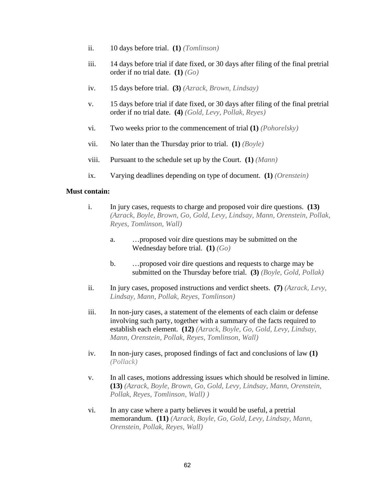- ii. 10 days before trial. **(1)** *(Tomlinson)*
- iii. 14 days before trial if date fixed, or 30 days after filing of the final pretrial order if no trial date. **(1)** *(Go)*
- iv. 15 days before trial. **(3)** *(Azrack, Brown, Lindsay)*
- <span id="page-64-0"></span>v. 15 days before trial if date fixed, or 30 days after filing of the final pretrial order if no trial date. **(4)** *(Gold, Levy, Pollak, Reyes)*
- vi. Two weeks prior to the commencement of trial **(1)** *(Pohorelsky)*
- vii. No later than the Thursday prior to trial. **(1)** *(Boyle)*
- viii. Pursuant to the schedule set up by the Court. **(1)** *(Mann)*
- ix. Varying deadlines depending on type of document. **(1)** *(Orenstein)*

#### **Must contain:**

- i. In jury cases, requests to charge and proposed voir dire questions. **(13)**  *(Azrack, Boyle, Brown, Go, Gold, Levy, Lindsay, Mann, Orenstein, Pollak, Reyes, Tomlinson, Wall)* 
	- a. …proposed voir dire questions may be submitted on the Wednesday before trial. **(1)** *(Go)*
	- b. …proposed voir dire questions and requests to charge may be submitted on the Thursday before trial. **(3)** *(Boyle, Gold, Pollak)*
- <span id="page-64-1"></span>ii. In jury cases, proposed instructions and verdict sheets. **(7)** *(Azrack, Levy, Lindsay, Mann, Pollak, Reyes, Tomlinson)*
- iii. In non-jury cases, a statement of the elements of each claim or defense involving such party, together with a summary of the facts required to establish each element. **(12)** *(Azrack, Boyle, Go, Gold, Levy, Lindsay, Mann, Orenstein, Pollak, Reyes, Tomlinson, Wall)*
- iv. In non-jury cases, proposed findings of fact and conclusions of law **(1)** *(Pollack)*
- <span id="page-64-2"></span>v. In all cases, motions addressing issues which should be resolved in limine. **(13)** *(Azrack, Boyle, Brown, Go, Gold, Levy, Lindsay, Mann, Orenstein, Pollak, Reyes, Tomlinson, Wall) )*
- <span id="page-64-3"></span>vi. In any case where a party believes it would be useful, a pretrial memorandum. **(11)** *(Azrack, Boyle, Go, Gold, Levy, Lindsay, Mann, Orenstein, Pollak, Reyes, Wall)*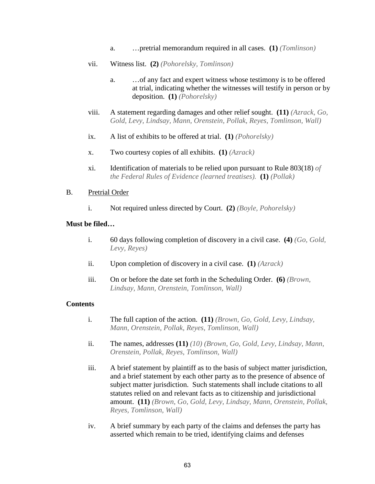- a. …pretrial memorandum required in all cases. **(1)** *(Tomlinson)*
- vii. Witness list. **(2)** *(Pohorelsky, Tomlinson)* 
	- a. …of any fact and expert witness whose testimony is to be offered at trial, indicating whether the witnesses will testify in person or by deposition. **(1)** *(Pohorelsky)*
- viii. A statement regarding damages and other relief sought. **(11)** *(Azrack, Go, Gold, Levy, Lindsay, Mann, Orenstein, Pollak, Reyes, Tomlinson, Wall)*
- ix. A list of exhibits to be offered at trial. **(1)** *(Pohorelsky)*
- x. Two courtesy copies of all exhibits. **(1)** *(Azrack)*
- xi. Identification of materials to be relied upon pursuant to Rule 803(18) *of the Federal Rules of Evidence (learned treatises).* **(1)** *(Pollak)*

#### B. Pretrial Order

i. Not required unless directed by Court. **(2)** *(Boyle, Pohorelsky)* 

#### **Must be filed…**

- i. 60 days following completion of discovery in a civil case. **(4)** *(Go, Gold, Levy, Reyes)*
- ii. Upon completion of discovery in a civil case. **(1)** *(Azrack)*
- iii. On or before the date set forth in the Scheduling Order. **(6)** *(Brown, Lindsay, Mann, Orenstein, Tomlinson, Wall)*

#### **Contents**

- i. The full caption of the action. **(11)** *(Brown, Go, Gold, Levy, Lindsay, Mann, Orenstein, Pollak, Reyes, Tomlinson, Wall)*
- ii. The names, addresses **(11)** *(10) (Brown, Go, Gold, Levy, Lindsay, Mann, Orenstein, Pollak, Reyes, Tomlinson, Wall)*
- iii. A brief statement by plaintiff as to the basis of subject matter jurisdiction, and a brief statement by each other party as to the presence of absence of subject matter jurisdiction. Such statements shall include citations to all statutes relied on and relevant facts as to citizenship and jurisdictional amount. **(11)** *(Brown, Go, Gold, Levy, Lindsay, Mann, Orenstein, Pollak, Reyes, Tomlinson, Wall)*
- iv. A brief summary by each party of the claims and defenses the party has asserted which remain to be tried, identifying claims and defenses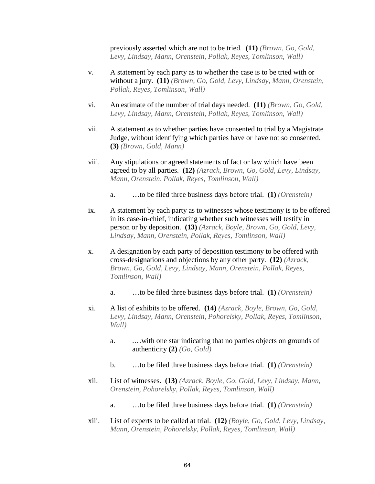previously asserted which are not to be tried. **(11)** *(Brown, Go, Gold, Levy, Lindsay, Mann, Orenstein, Pollak, Reyes, Tomlinson, Wall)* 

- v. A statement by each party as to whether the case is to be tried with or without a jury. **(11)** *(Brown, Go, Gold, Levy, Lindsay, Mann, Orenstein, Pollak, Reyes, Tomlinson, Wall)*
- vi. An estimate of the number of trial days needed. **(11)** *(Brown, Go, Gold, Levy, Lindsay, Mann, Orenstein, Pollak, Reyes, Tomlinson, Wall)*
- vii. A statement as to whether parties have consented to trial by a Magistrate Judge, without identifying which parties have or have not so consented. **(3)** *(Brown, Gold, Mann)*
- viii. Any stipulations or agreed statements of fact or law which have been agreed to by all parties. **(12)** *(Azrack, Brown, Go, Gold, Levy, Lindsay, Mann, Orenstein, Pollak, Reyes, Tomlinson, Wall)* 
	- a. …to be filed three business days before trial. **(1)** *(Orenstein)*
- <span id="page-66-0"></span>ix. A statement by each party as to witnesses whose testimony is to be offered in its case-in-chief, indicating whether such witnesses will testify in person or by deposition. **(13)** *(Azrack, Boyle, Brown, Go, Gold, Levy, Lindsay, Mann, Orenstein, Pollak, Reyes, Tomlinson, Wall)*
- x. A designation by each party of deposition testimony to be offered with cross-designations and objections by any other party. **(12)** *(Azrack, Brown, Go, Gold, Levy, Lindsay, Mann, Orenstein, Pollak, Reyes, Tomlinson, Wall)* 
	- a. …to be filed three business days before trial. **(1)** *(Orenstein)*
- xi. A list of exhibits to be offered. **(14)** *(Azrack, Boyle, Brown, Go, Gold, Levy, Lindsay, Mann, Orenstein, Pohorelsky, Pollak, Reyes, Tomlinson, Wall)* 
	- a. .…with one star indicating that no parties objects on grounds of authenticity **(2)** *(Go, Gold)*
	- b. …to be filed three business days before trial. **(1)** *(Orenstein)*
- xii. List of witnesses. **(13)** *(Azrack, Boyle, Go, Gold, Levy, Lindsay, Mann, Orenstein, Pohorelsky, Pollak, Reyes, Tomlinson, Wall)* 
	- a. …to be filed three business days before trial. **(1)** *(Orenstein)*
- xiii. List of experts to be called at trial. **(12)** *(Boyle, Go, Gold, Levy, Lindsay, Mann, Orenstein, Pohorelsky, Pollak, Reyes, Tomlinson, Wall)*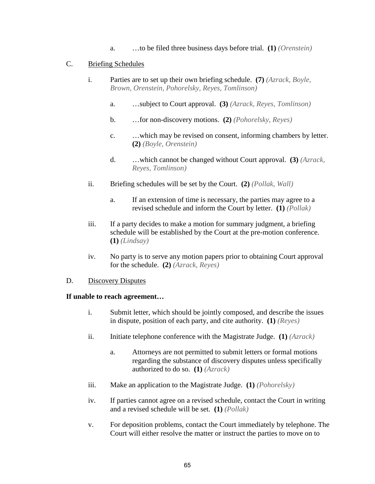a. …to be filed three business days before trial. **(1)** *(Orenstein)* 

#### C. Briefing Schedules

- i. Parties are to set up their own briefing schedule. **(7)** *(Azrack, Boyle, Brown, Orenstein, Pohorelsky, Reyes, Tomlinson)* 
	- a. …subject to Court approval. **(3)** *(Azrack, Reyes, Tomlinson)*
	- b. …for non-discovery motions. **(2)** *(Pohorelsky, Reyes)*
	- c. …which may be revised on consent, informing chambers by letter. **(2)** *(Boyle, Orenstein)*
	- d. …which cannot be changed without Court approval. **(3)** *(Azrack, Reyes, Tomlinson)*
- ii. Briefing schedules will be set by the Court. **(2)** *(Pollak, Wall)* 
	- a. If an extension of time is necessary, the parties may agree to a revised schedule and inform the Court by letter. **(1)** *(Pollak)*
- iii. If a party decides to make a motion for summary judgment, a briefing schedule will be established by the Court at the pre-motion conference. **(1)** *(Lindsay)*
- iv. No party is to serve any motion papers prior to obtaining Court approval for the schedule. **(2)** *(Azrack, Reyes)*

#### D. Discovery Disputes

#### **If unable to reach agreement…**

- i. Submit letter, which should be jointly composed, and describe the issues in dispute, position of each party, and cite authority. **(1)** *(Reyes)*
- ii. Initiate telephone conference with the Magistrate Judge. **(1)** *(Azrack)* 
	- a. Attorneys are not permitted to submit letters or formal motions regarding the substance of discovery disputes unless specifically authorized to do so. **(1)** *(Azrack)*
- iii. Make an application to the Magistrate Judge. **(1)** *(Pohorelsky)*
- iv. If parties cannot agree on a revised schedule, contact the Court in writing and a revised schedule will be set. **(1)** *(Pollak)*
- v. For deposition problems, contact the Court immediately by telephone. The Court will either resolve the matter or instruct the parties to move on to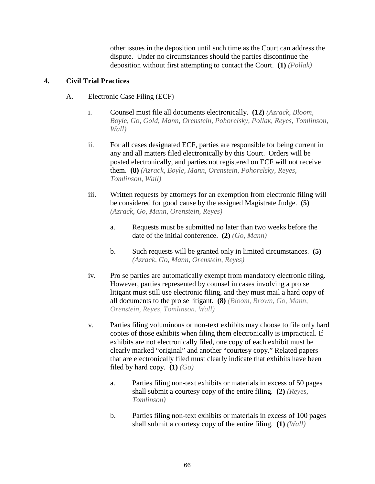other issues in the deposition until such time as the Court can address the dispute. Under no circumstances should the parties discontinue the deposition without first attempting to contact the Court. **(1)** *(Pollak)* 

## <span id="page-68-0"></span>**4. Civil Trial Practices**

## A. Electronic Case Filing (ECF)

- i. Counsel must file all documents electronically. **(12)** *(Azrack, Bloom, Boyle, Go, Gold, Mann, Orenstein, Pohorelsky, Pollak, Reyes, Tomlinson, Wall)*
- ii. For all cases designated ECF, parties are responsible for being current in any and all matters filed electronically by this Court. Orders will be posted electronically, and parties not registered on ECF will not receive them. **(8)** *(Azrack, Boyle, Mann, Orenstein, Pohorelsky, Reyes, Tomlinson, Wall)*
- iii. Written requests by attorneys for an exemption from electronic filing will be considered for good cause by the assigned Magistrate Judge. **(5)**  *(Azrack, Go, Mann, Orenstein, Reyes)* 
	- a. Requests must be submitted no later than two weeks before the date of the initial conference. **(2)** *(Go, Mann)*
	- b. Such requests will be granted only in limited circumstances. **(5)**  *(Azrack, Go, Mann, Orenstein, Reyes)*
- <span id="page-68-1"></span>iv. Pro se parties are automatically exempt from mandatory electronic filing. However, parties represented by counsel in cases involving a pro se litigant must still use electronic filing, and they must mail a hard copy of all documents to the pro se litigant. **(8)** *(Bloom, Brown, Go, Mann, Orenstein, Reyes, Tomlinson, Wall)*
- v. Parties filing voluminous or non-text exhibits may choose to file only hard copies of those exhibits when filing them electronically is impractical. If exhibits are not electronically filed, one copy of each exhibit must be clearly marked "original" and another "courtesy copy." Related papers that are electronically filed must clearly indicate that exhibits have been filed by hard copy.  $(1)$   $(Go)$ 
	- a. Parties filing non-text exhibits or materials in excess of 50 pages shall submit a courtesy copy of the entire filing. **(2)** *(Reyes, Tomlinson)*
	- b. Parties filing non-text exhibits or materials in excess of 100 pages shall submit a courtesy copy of the entire filing. **(1)** *(Wall)*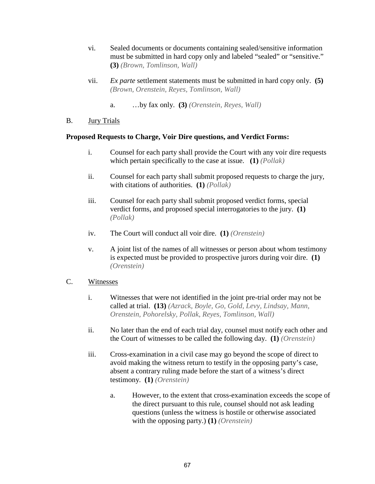- vi. Sealed documents or documents containing sealed/sensitive information must be submitted in hard copy only and labeled "sealed" or "sensitive." **(3)** *(Brown, Tomlinson, Wall)*
- <span id="page-69-0"></span>vii. *Ex parte* settlement statements must be submitted in hard copy only. **(5)**  *(Brown, Orenstein, Reyes, Tomlinson, Wall)* 
	- a. …by fax only. **(3)** *(Orenstein, Reyes, Wall)*
- <span id="page-69-1"></span>B. Jury Trials

## **Proposed Requests to Charge, Voir Dire questions, and Verdict Forms:**

- i. Counsel for each party shall provide the Court with any voir dire requests which pertain specifically to the case at issue. **(1)** *(Pollak)*
- ii. Counsel for each party shall submit proposed requests to charge the jury, with citations of authorities. **(1)** *(Pollak)*
- iii. Counsel for each party shall submit proposed verdict forms, special verdict forms, and proposed special interrogatories to the jury. **(1)**  *(Pollak)*
- iv. The Court will conduct all voir dire. **(1)** *(Orenstein)*
- v. A joint list of the names of all witnesses or person about whom testimony is expected must be provided to prospective jurors during voir dire. **(1)**  *(Orenstein)*

## C. Witnesses

- i. Witnesses that were not identified in the joint pre-trial order may not be called at trial. **(13)** *(Azrack, Boyle, Go, Gold, Levy, Lindsay, Mann, Orenstein, Pohorelsky, Pollak, Reyes, Tomlinson, Wall)*
- ii. No later than the end of each trial day, counsel must notify each other and the Court of witnesses to be called the following day. **(1)** *(Orenstein)*
- iii. Cross-examination in a civil case may go beyond the scope of direct to avoid making the witness return to testify in the opposing party's case, absent a contrary ruling made before the start of a witness's direct testimony. **(1)** *(Orenstein)*
	- a. However, to the extent that cross-examination exceeds the scope of the direct pursuant to this rule, counsel should not ask leading questions (unless the witness is hostile or otherwise associated with the opposing party.) **(1)** *(Orenstein)*